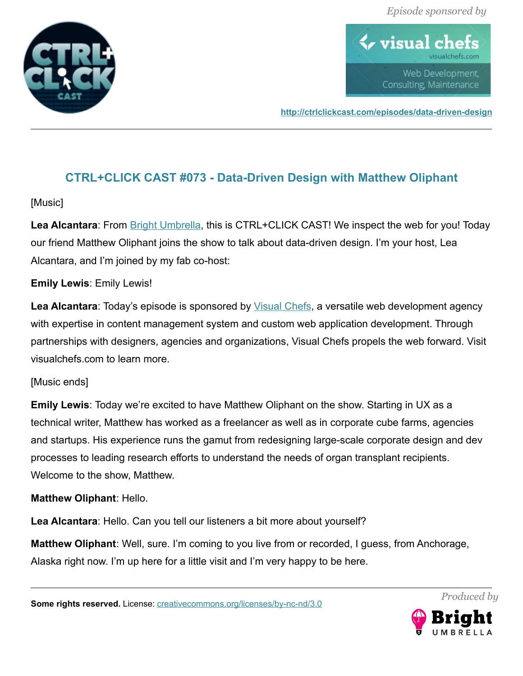

 $\blacklozenge$  visual ch Web Development, Consulting, Maintenance

**<http://ctrlclickcast.com/episodes/data-driven-design>**

# **CTRL+CLICK CAST #073 - Data-Driven Design with Matthew Oliphant**

### [Music]

**Lea Alcantara**: From [Bright Umbrella,](http://abrightumbrella.com/) this is CTRL+CLICK CAST! We inspect the web for you! Today our friend Matthew Oliphant joins the show to talk about data-driven design. I'm your host, Lea Alcantara, and I'm joined by my fab co-host:

### **Emily Lewis**: Emily Lewis!

**Lea Alcantara**: Today's episode is sponsored by [Visual Chefs,](http://visualchefs.com/) a versatile web development agency with expertise in content management system and custom web application development. Through partnerships with designers, agencies and organizations, Visual Chefs propels the web forward. Visit visualchefs.com to learn more.

#### [Music ends]

**Emily Lewis**: Today we're excited to have Matthew Oliphant on the show. Starting in UX as a technical writer, Matthew has worked as a freelancer as well as in corporate cube farms, agencies and startups. His experience runs the gamut from redesigning large-scale corporate design and dev processes to leading research efforts to understand the needs of organ transplant recipients. Welcome to the show, Matthew.

#### **Matthew Oliphant**: Hello.

**Lea Alcantara**: Hello. Can you tell our listeners a bit more about yourself?

**Matthew Oliphant**: Well, sure. I'm coming to you live from or recorded, I guess, from Anchorage, Alaska right now. I'm up here for a little visit and I'm very happy to be here.

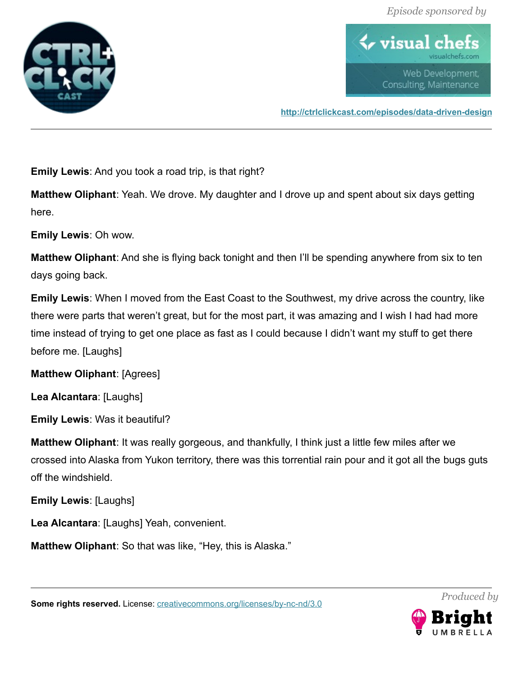

 $\blacklozenge$  visual ch Web Development, Consulting, Maintenance

**<http://ctrlclickcast.com/episodes/data-driven-design>**

**Emily Lewis**: And you took a road trip, is that right?

**Matthew Oliphant**: Yeah. We drove. My daughter and I drove up and spent about six days getting here.

**Emily Lewis**: Oh wow.

**Matthew Oliphant**: And she is flying back tonight and then I'll be spending anywhere from six to ten days going back.

**Emily Lewis**: When I moved from the East Coast to the Southwest, my drive across the country, like there were parts that weren't great, but for the most part, it was amazing and I wish I had had more time instead of trying to get one place as fast as I could because I didn't want my stuff to get there before me. [Laughs]

**Matthew Oliphant**: [Agrees]

**Lea Alcantara**: [Laughs]

**Emily Lewis**: Was it beautiful?

**Matthew Oliphant**: It was really gorgeous, and thankfully, I think just a little few miles after we crossed into Alaska from Yukon territory, there was this torrential rain pour and it got all the bugs guts off the windshield.

**Emily Lewis**: [Laughs]

**Lea Alcantara**: [Laughs] Yeah, convenient.

**Matthew Oliphant**: So that was like, "Hey, this is Alaska."

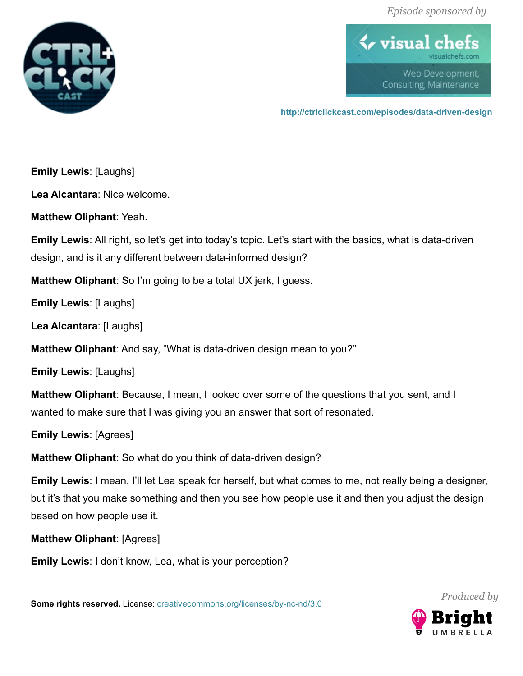

 $\blacklozenge$  visual ch Web Development, Consulting, Maintenance

**<http://ctrlclickcast.com/episodes/data-driven-design>**

**Emily Lewis**: [Laughs]

**Lea Alcantara**: Nice welcome.

**Matthew Oliphant**: Yeah.

**Emily Lewis**: All right, so let's get into today's topic. Let's start with the basics, what is data-driven design, and is it any different between data-informed design?

**Matthew Oliphant**: So I'm going to be a total UX jerk, I guess.

**Emily Lewis**: [Laughs]

**Lea Alcantara**: [Laughs]

**Matthew Oliphant**: And say, "What is data-driven design mean to you?"

**Emily Lewis**: [Laughs]

**Matthew Oliphant**: Because, I mean, I looked over some of the questions that you sent, and I wanted to make sure that I was giving you an answer that sort of resonated.

**Emily Lewis**: [Agrees]

**Matthew Oliphant**: So what do you think of data-driven design?

**Emily Lewis**: I mean, I'll let Lea speak for herself, but what comes to me, not really being a designer, but it's that you make something and then you see how people use it and then you adjust the design based on how people use it.

**Matthew Oliphant**: [Agrees]

**Emily Lewis**: I don't know, Lea, what is your perception?

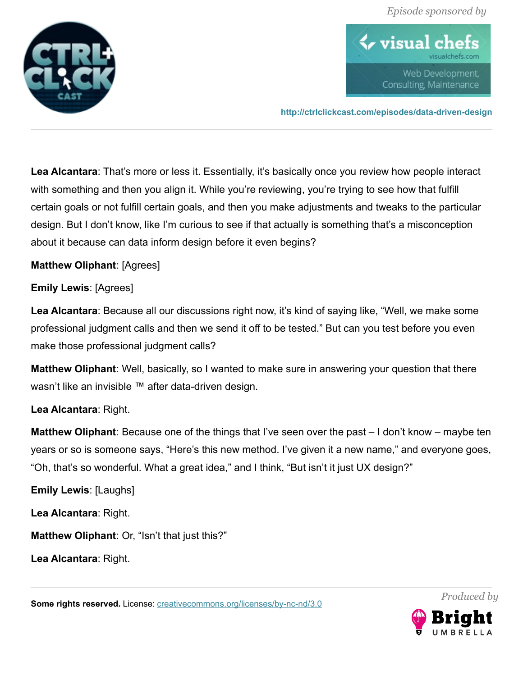

 $\blacklozenge$  visual ch Web Development, Consulting, Maintenance

**<http://ctrlclickcast.com/episodes/data-driven-design>**

**Lea Alcantara**: That's more or less it. Essentially, it's basically once you review how people interact with something and then you align it. While you're reviewing, you're trying to see how that fulfill certain goals or not fulfill certain goals, and then you make adjustments and tweaks to the particular design. But I don't know, like I'm curious to see if that actually is something that's a misconception about it because can data inform design before it even begins?

**Matthew Oliphant**: [Agrees]

**Emily Lewis**: [Agrees]

**Lea Alcantara**: Because all our discussions right now, it's kind of saying like, "Well, we make some professional judgment calls and then we send it off to be tested." But can you test before you even make those professional judgment calls?

**Matthew Oliphant**: Well, basically, so I wanted to make sure in answering your question that there wasn't like an invisible ™ after data-driven design.

## **Lea Alcantara**: Right.

**Matthew Oliphant**: Because one of the things that I've seen over the past – I don't know – maybe ten years or so is someone says, "Here's this new method. I've given it a new name," and everyone goes, "Oh, that's so wonderful. What a great idea," and I think, "But isn't it just UX design?"

**Emily Lewis**: [Laughs]

**Lea Alcantara**: Right.

**Matthew Oliphant**: Or, "Isn't that just this?"

**Lea Alcantara**: Right.

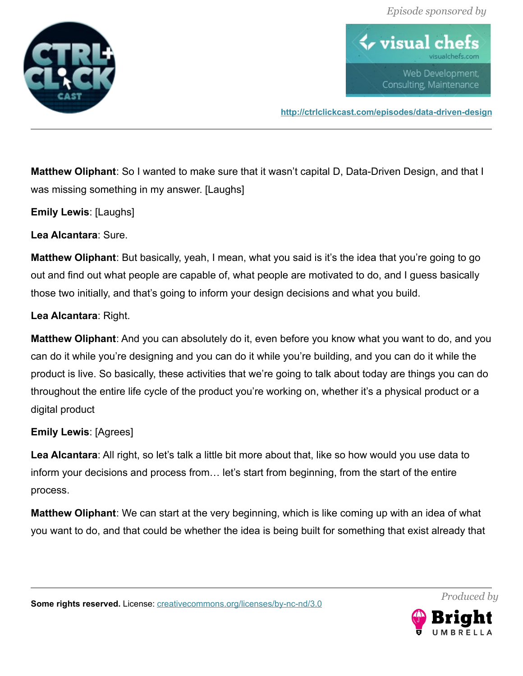

 $\bm{\leftrightarrow}$  visual cl Web Development, Consulting, Maintenance

**<http://ctrlclickcast.com/episodes/data-driven-design>**

**Matthew Oliphant**: So I wanted to make sure that it wasn't capital D, Data-Driven Design, and that I was missing something in my answer. [Laughs]

**Emily Lewis**: [Laughs]

**Lea Alcantara**: Sure.

**Matthew Oliphant**: But basically, yeah, I mean, what you said is it's the idea that you're going to go out and find out what people are capable of, what people are motivated to do, and I guess basically those two initially, and that's going to inform your design decisions and what you build.

**Lea Alcantara**: Right.

**Matthew Oliphant**: And you can absolutely do it, even before you know what you want to do, and you can do it while you're designing and you can do it while you're building, and you can do it while the product is live. So basically, these activities that we're going to talk about today are things you can do throughout the entire life cycle of the product you're working on, whether it's a physical product or a digital product

## **Emily Lewis**: [Agrees]

**Lea Alcantara**: All right, so let's talk a little bit more about that, like so how would you use data to inform your decisions and process from… let's start from beginning, from the start of the entire process.

**Matthew Oliphant**: We can start at the very beginning, which is like coming up with an idea of what you want to do, and that could be whether the idea is being built for something that exist already that



*Produced by*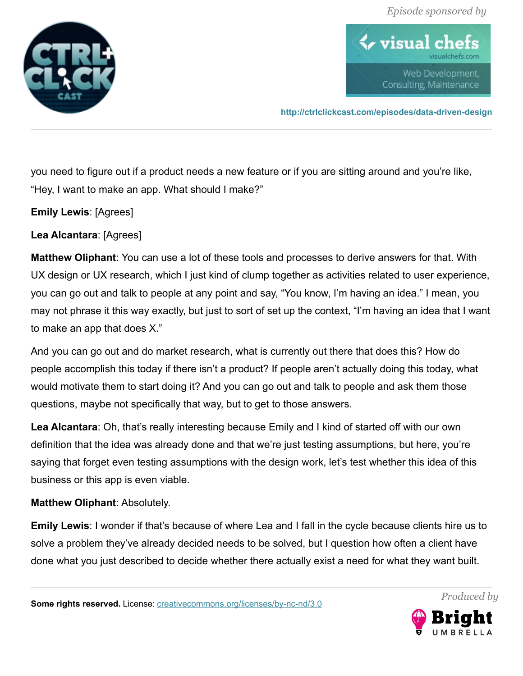

 $\blacklozenge$  visual ch Web Development, Consulting, Maintenance

**<http://ctrlclickcast.com/episodes/data-driven-design>**

you need to figure out if a product needs a new feature or if you are sitting around and you're like, "Hey, I want to make an app. What should I make?"

**Emily Lewis**: [Agrees]

**Lea Alcantara**: [Agrees]

**Matthew Oliphant**: You can use a lot of these tools and processes to derive answers for that. With UX design or UX research, which I just kind of clump together as activities related to user experience, you can go out and talk to people at any point and say, "You know, I'm having an idea." I mean, you may not phrase it this way exactly, but just to sort of set up the context, "I'm having an idea that I want to make an app that does X."

And you can go out and do market research, what is currently out there that does this? How do people accomplish this today if there isn't a product? If people aren't actually doing this today, what would motivate them to start doing it? And you can go out and talk to people and ask them those questions, maybe not specifically that way, but to get to those answers.

**Lea Alcantara**: Oh, that's really interesting because Emily and I kind of started off with our own definition that the idea was already done and that we're just testing assumptions, but here, you're saying that forget even testing assumptions with the design work, let's test whether this idea of this business or this app is even viable.

#### **Matthew Oliphant**: Absolutely.

**Emily Lewis**: I wonder if that's because of where Lea and I fall in the cycle because clients hire us to solve a problem they've already decided needs to be solved, but I question how often a client have done what you just described to decide whether there actually exist a need for what they want built.

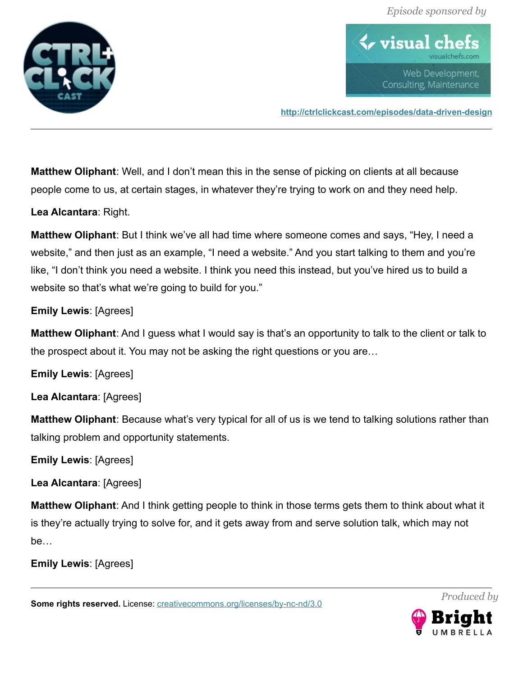

 $\blacklozenge$  visual ch Web Development, Consulting, Maintenance

**<http://ctrlclickcast.com/episodes/data-driven-design>**

**Matthew Oliphant**: Well, and I don't mean this in the sense of picking on clients at all because people come to us, at certain stages, in whatever they're trying to work on and they need help.

**Lea Alcantara**: Right.

**Matthew Oliphant**: But I think we've all had time where someone comes and says, "Hey, I need a website," and then just as an example, "I need a website." And you start talking to them and you're like, "I don't think you need a website. I think you need this instead, but you've hired us to build a website so that's what we're going to build for you."

**Emily Lewis**: [Agrees]

**Matthew Oliphant**: And I guess what I would say is that's an opportunity to talk to the client or talk to the prospect about it. You may not be asking the right questions or you are…

**Emily Lewis**: [Agrees]

**Lea Alcantara**: [Agrees]

**Matthew Oliphant**: Because what's very typical for all of us is we tend to talking solutions rather than talking problem and opportunity statements.

**Emily Lewis**: [Agrees]

**Lea Alcantara**: [Agrees]

**Matthew Oliphant**: And I think getting people to think in those terms gets them to think about what it is they're actually trying to solve for, and it gets away from and serve solution talk, which may not be…

**Emily Lewis**: [Agrees]

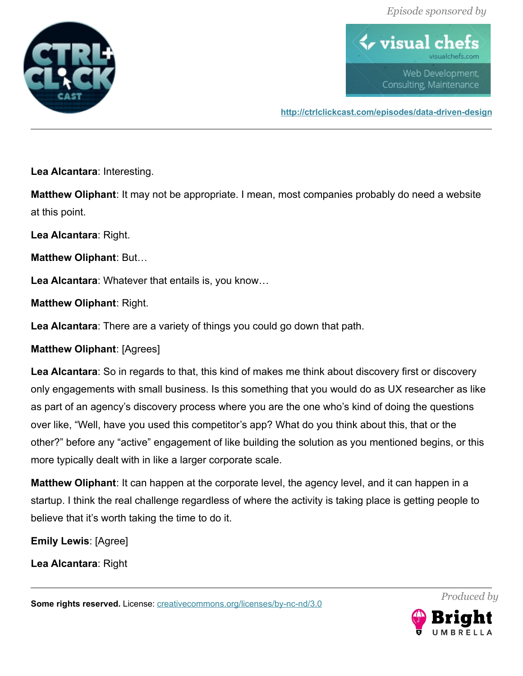

 $\blacklozenge$  visual ch Web Development, Consulting, Maintenance

**<http://ctrlclickcast.com/episodes/data-driven-design>**

**Lea Alcantara**: Interesting.

**Matthew Oliphant**: It may not be appropriate. I mean, most companies probably do need a website at this point.

**Lea Alcantara**: Right.

**Matthew Oliphant**: But…

**Lea Alcantara**: Whatever that entails is, you know…

**Matthew Oliphant**: Right.

**Lea Alcantara**: There are a variety of things you could go down that path.

**Matthew Oliphant**: [Agrees]

**Lea Alcantara**: So in regards to that, this kind of makes me think about discovery first or discovery only engagements with small business. Is this something that you would do as UX researcher as like as part of an agency's discovery process where you are the one who's kind of doing the questions over like, "Well, have you used this competitor's app? What do you think about this, that or the other?" before any "active" engagement of like building the solution as you mentioned begins, or this more typically dealt with in like a larger corporate scale.

**Matthew Oliphant**: It can happen at the corporate level, the agency level, and it can happen in a startup. I think the real challenge regardless of where the activity is taking place is getting people to believe that it's worth taking the time to do it.

**Emily Lewis**: [Agree]

**Lea Alcantara**: Right

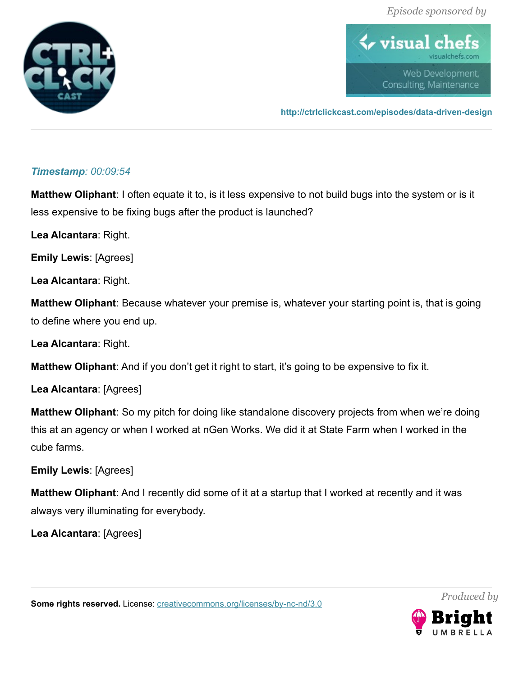

 $\blacklozenge$  visual ch Web Development, Consulting, Maintenance

**<http://ctrlclickcast.com/episodes/data-driven-design>**

## *Timestamp: 00:09:54*

**Matthew Oliphant**: I often equate it to, is it less expensive to not build bugs into the system or is it less expensive to be fixing bugs after the product is launched?

**Lea Alcantara**: Right.

**Emily Lewis**: [Agrees]

**Lea Alcantara**: Right.

**Matthew Oliphant**: Because whatever your premise is, whatever your starting point is, that is going to define where you end up.

**Lea Alcantara**: Right.

**Matthew Oliphant**: And if you don't get it right to start, it's going to be expensive to fix it.

**Lea Alcantara**: [Agrees]

**Matthew Oliphant**: So my pitch for doing like standalone discovery projects from when we're doing this at an agency or when I worked at nGen Works. We did it at State Farm when I worked in the cube farms.

**Emily Lewis**: [Agrees]

**Matthew Oliphant**: And I recently did some of it at a startup that I worked at recently and it was always very illuminating for everybody.

**Lea Alcantara**: [Agrees]

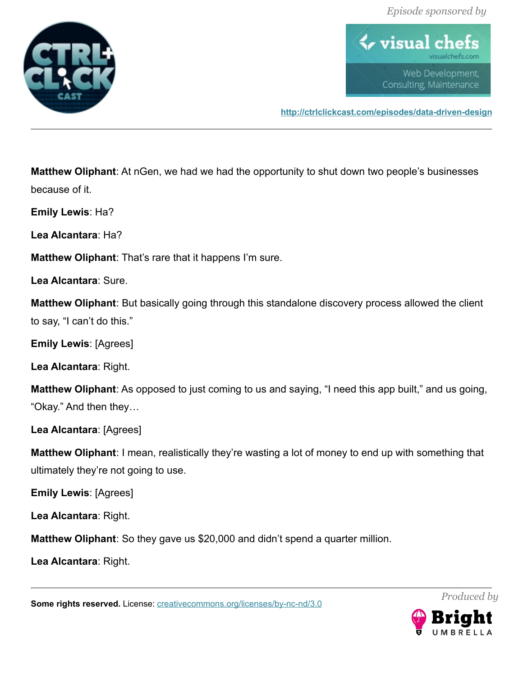

 $\blacklozenge$  visual ch Web Development, Consulting, Maintenance

**<http://ctrlclickcast.com/episodes/data-driven-design>**

**Matthew Oliphant**: At nGen, we had we had the opportunity to shut down two people's businesses because of it.

**Emily Lewis**: Ha?

**Lea Alcantara**: Ha?

**Matthew Oliphant**: That's rare that it happens I'm sure.

**Lea Alcantara**: Sure.

**Matthew Oliphant**: But basically going through this standalone discovery process allowed the client to say, "I can't do this."

**Emily Lewis**: [Agrees]

**Lea Alcantara**: Right.

**Matthew Oliphant**: As opposed to just coming to us and saying, "I need this app built," and us going, "Okay." And then they…

**Lea Alcantara**: [Agrees]

**Matthew Oliphant**: I mean, realistically they're wasting a lot of money to end up with something that ultimately they're not going to use.

**Emily Lewis**: [Agrees]

**Lea Alcantara**: Right.

**Matthew Oliphant**: So they gave us \$20,000 and didn't spend a quarter million.

**Lea Alcantara**: Right.

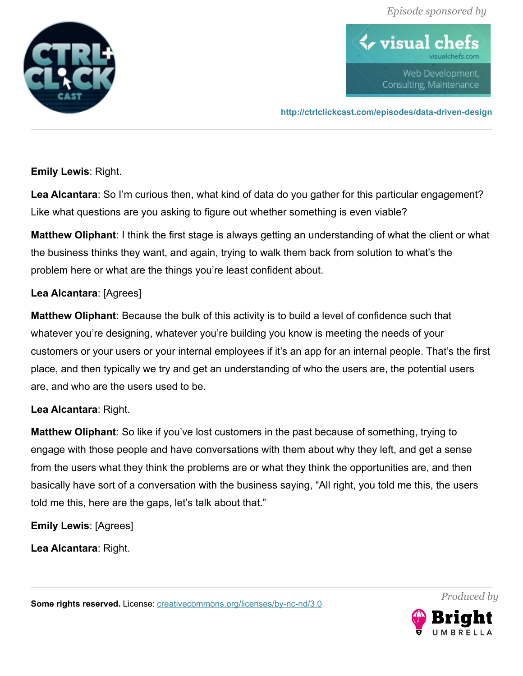

 $\blacklozenge$  visual ch Web Development, Consulting, Maintenance

**<http://ctrlclickcast.com/episodes/data-driven-design>**

**Emily Lewis**: Right.

**Lea Alcantara**: So I'm curious then, what kind of data do you gather for this particular engagement? Like what questions are you asking to figure out whether something is even viable?

**Matthew Oliphant**: I think the first stage is always getting an understanding of what the client or what the business thinks they want, and again, trying to walk them back from solution to what's the problem here or what are the things you're least confident about.

## **Lea Alcantara**: [Agrees]

**Matthew Oliphant**: Because the bulk of this activity is to build a level of confidence such that whatever you're designing, whatever you're building you know is meeting the needs of your customers or your users or your internal employees if it's an app for an internal people. That's the first place, and then typically we try and get an understanding of who the users are, the potential users are, and who are the users used to be.

## **Lea Alcantara**: Right.

**Matthew Oliphant**: So like if you've lost customers in the past because of something, trying to engage with those people and have conversations with them about why they left, and get a sense from the users what they think the problems are or what they think the opportunities are, and then basically have sort of a conversation with the business saying, "All right, you told me this, the users told me this, here are the gaps, let's talk about that."

**Emily Lewis**: [Agrees]

**Lea Alcantara**: Right.

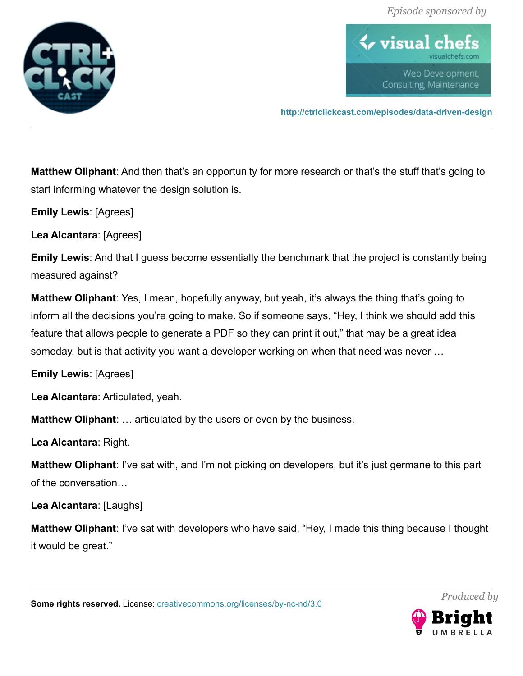

 $\blacklozenge$  visual ch Web Development, Consulting, Maintenance

**<http://ctrlclickcast.com/episodes/data-driven-design>**

**Matthew Oliphant**: And then that's an opportunity for more research or that's the stuff that's going to start informing whatever the design solution is.

**Emily Lewis**: [Agrees]

**Lea Alcantara**: [Agrees]

**Emily Lewis**: And that I guess become essentially the benchmark that the project is constantly being measured against?

**Matthew Oliphant**: Yes, I mean, hopefully anyway, but yeah, it's always the thing that's going to inform all the decisions you're going to make. So if someone says, "Hey, I think we should add this feature that allows people to generate a PDF so they can print it out," that may be a great idea someday, but is that activity you want a developer working on when that need was never …

**Emily Lewis**: [Agrees]

**Lea Alcantara**: Articulated, yeah.

**Matthew Oliphant**: … articulated by the users or even by the business.

**Lea Alcantara**: Right.

**Matthew Oliphant**: I've sat with, and I'm not picking on developers, but it's just germane to this part of the conversation…

**Lea Alcantara**: [Laughs]

**Matthew Oliphant**: I've sat with developers who have said, "Hey, I made this thing because I thought it would be great."

**Some rights reserved.** License: [creativecommons.org/licenses/by-nc-nd/3.0](http://creativecommons.org/licenses/by-nc-nd/3.0/)



*Produced by*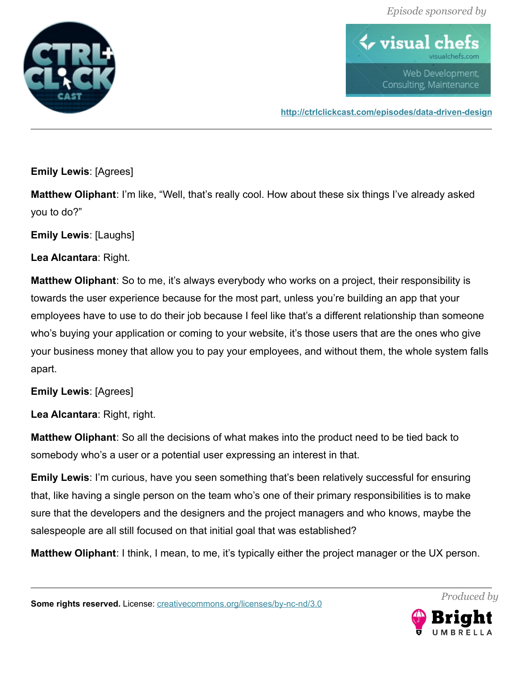

 $\blacklozenge$  visual ch Web Development, Consulting, Maintenance

**<http://ctrlclickcast.com/episodes/data-driven-design>**

**Emily Lewis**: [Agrees]

**Matthew Oliphant**: I'm like, "Well, that's really cool. How about these six things I've already asked you to do?"

**Emily Lewis**: [Laughs]

**Lea Alcantara**: Right.

**Matthew Oliphant**: So to me, it's always everybody who works on a project, their responsibility is towards the user experience because for the most part, unless you're building an app that your employees have to use to do their job because I feel like that's a different relationship than someone who's buying your application or coming to your website, it's those users that are the ones who give your business money that allow you to pay your employees, and without them, the whole system falls apart.

**Emily Lewis**: [Agrees]

**Lea Alcantara**: Right, right.

**Matthew Oliphant**: So all the decisions of what makes into the product need to be tied back to somebody who's a user or a potential user expressing an interest in that.

**Emily Lewis**: I'm curious, have you seen something that's been relatively successful for ensuring that, like having a single person on the team who's one of their primary responsibilities is to make sure that the developers and the designers and the project managers and who knows, maybe the salespeople are all still focused on that initial goal that was established?

**Matthew Oliphant**: I think, I mean, to me, it's typically either the project manager or the UX person.

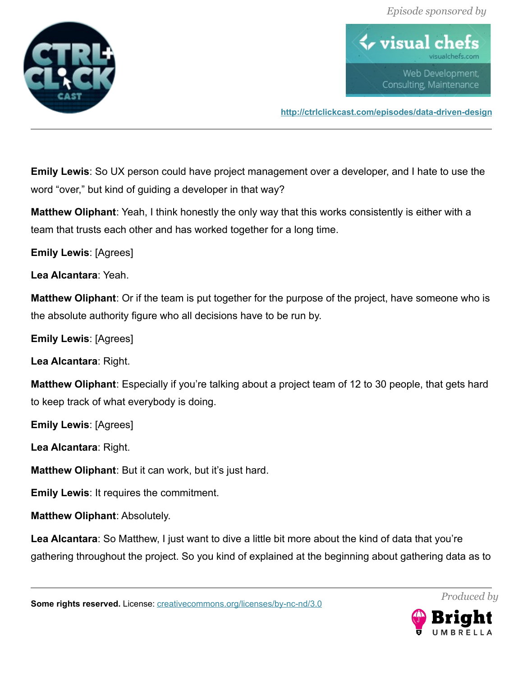

 $\blacklozenge$  visual ch Web Development, Consulting, Maintenance

**<http://ctrlclickcast.com/episodes/data-driven-design>**

**Emily Lewis**: So UX person could have project management over a developer, and I hate to use the word "over," but kind of guiding a developer in that way?

**Matthew Oliphant**: Yeah, I think honestly the only way that this works consistently is either with a team that trusts each other and has worked together for a long time.

**Emily Lewis**: [Agrees]

**Lea Alcantara**: Yeah.

**Matthew Oliphant**: Or if the team is put together for the purpose of the project, have someone who is the absolute authority figure who all decisions have to be run by.

**Emily Lewis**: [Agrees]

**Lea Alcantara**: Right.

**Matthew Oliphant**: Especially if you're talking about a project team of 12 to 30 people, that gets hard to keep track of what everybody is doing.

**Emily Lewis**: [Agrees]

**Lea Alcantara**: Right.

**Matthew Oliphant**: But it can work, but it's just hard.

**Emily Lewis**: It requires the commitment.

**Matthew Oliphant**: Absolutely.

**Lea Alcantara**: So Matthew, I just want to dive a little bit more about the kind of data that you're gathering throughout the project. So you kind of explained at the beginning about gathering data as to

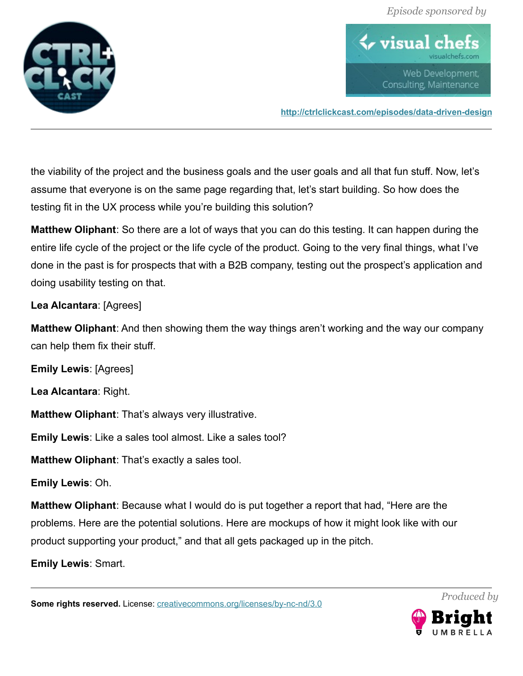

 $\blacklozenge$  visual ch Web Development, Consulting, Maintenance

**<http://ctrlclickcast.com/episodes/data-driven-design>**

the viability of the project and the business goals and the user goals and all that fun stuff. Now, let's assume that everyone is on the same page regarding that, let's start building. So how does the testing fit in the UX process while you're building this solution?

**Matthew Oliphant**: So there are a lot of ways that you can do this testing. It can happen during the entire life cycle of the project or the life cycle of the product. Going to the very final things, what I've done in the past is for prospects that with a B2B company, testing out the prospect's application and doing usability testing on that.

## **Lea Alcantara**: [Agrees]

**Matthew Oliphant**: And then showing them the way things aren't working and the way our company can help them fix their stuff.

**Emily Lewis**: [Agrees]

**Lea Alcantara**: Right.

**Matthew Oliphant**: That's always very illustrative.

**Emily Lewis**: Like a sales tool almost. Like a sales tool?

**Matthew Oliphant**: That's exactly a sales tool.

**Emily Lewis**: Oh.

**Matthew Oliphant**: Because what I would do is put together a report that had, "Here are the problems. Here are the potential solutions. Here are mockups of how it might look like with our product supporting your product," and that all gets packaged up in the pitch.

**Emily Lewis**: Smart.

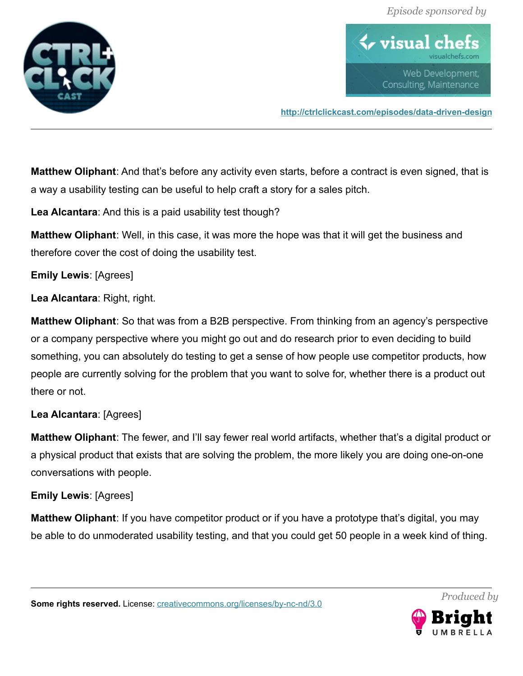

 $\blacklozenge$  visual c Web Development, Consulting, Maintenance

**<http://ctrlclickcast.com/episodes/data-driven-design>**

**Matthew Oliphant**: And that's before any activity even starts, before a contract is even signed, that is a way a usability testing can be useful to help craft a story for a sales pitch.

**Lea Alcantara**: And this is a paid usability test though?

**Matthew Oliphant**: Well, in this case, it was more the hope was that it will get the business and therefore cover the cost of doing the usability test.

## **Emily Lewis**: [Agrees]

**Lea Alcantara**: Right, right.

**Matthew Oliphant**: So that was from a B2B perspective. From thinking from an agency's perspective or a company perspective where you might go out and do research prior to even deciding to build something, you can absolutely do testing to get a sense of how people use competitor products, how people are currently solving for the problem that you want to solve for, whether there is a product out there or not.

# **Lea Alcantara**: [Agrees]

**Matthew Oliphant**: The fewer, and I'll say fewer real world artifacts, whether that's a digital product or a physical product that exists that are solving the problem, the more likely you are doing one-on-one conversations with people.

# **Emily Lewis**: [Agrees]

**Matthew Oliphant**: If you have competitor product or if you have a prototype that's digital, you may be able to do unmoderated usability testing, and that you could get 50 people in a week kind of thing.

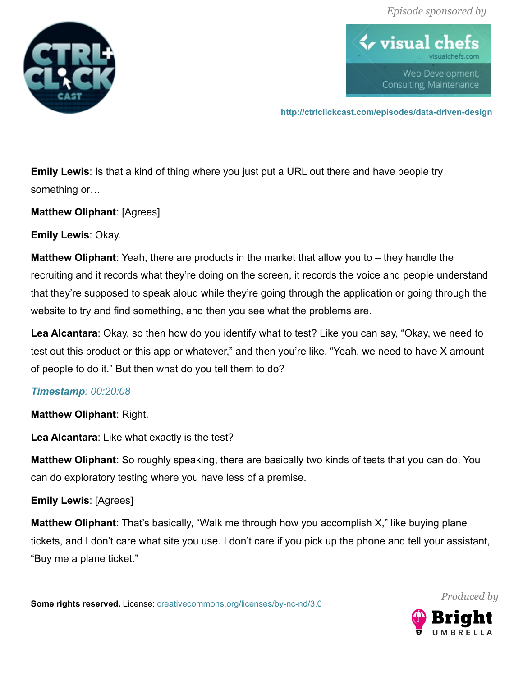

 $\blacklozenge$  visual ch Web Development, Consulting, Maintenance

**<http://ctrlclickcast.com/episodes/data-driven-design>**

**Emily Lewis**: Is that a kind of thing where you just put a URL out there and have people try something or…

**Matthew Oliphant**: [Agrees]

**Emily Lewis**: Okay.

**Matthew Oliphant**: Yeah, there are products in the market that allow you to – they handle the recruiting and it records what they're doing on the screen, it records the voice and people understand that they're supposed to speak aloud while they're going through the application or going through the website to try and find something, and then you see what the problems are.

**Lea Alcantara**: Okay, so then how do you identify what to test? Like you can say, "Okay, we need to test out this product or this app or whatever," and then you're like, "Yeah, we need to have X amount of people to do it." But then what do you tell them to do?

# *Timestamp: 00:20:08*

**Matthew Oliphant**: Right.

**Lea Alcantara**: Like what exactly is the test?

**Matthew Oliphant**: So roughly speaking, there are basically two kinds of tests that you can do. You can do exploratory testing where you have less of a premise.

**Emily Lewis**: [Agrees]

**Matthew Oliphant**: That's basically, "Walk me through how you accomplish X," like buying plane tickets, and I don't care what site you use. I don't care if you pick up the phone and tell your assistant, "Buy me a plane ticket."

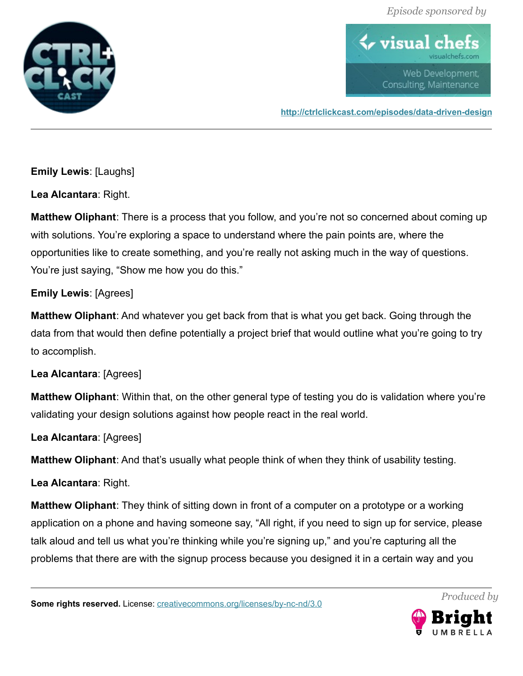

 $\bm{\leftrightarrow}$  visual c Web Development, Consulting, Maintenance

**<http://ctrlclickcast.com/episodes/data-driven-design>**

**Emily Lewis**: [Laughs]

**Lea Alcantara**: Right.

**Matthew Oliphant**: There is a process that you follow, and you're not so concerned about coming up with solutions. You're exploring a space to understand where the pain points are, where the opportunities like to create something, and you're really not asking much in the way of questions. You're just saying, "Show me how you do this."

# **Emily Lewis**: [Agrees]

**Matthew Oliphant**: And whatever you get back from that is what you get back. Going through the data from that would then define potentially a project brief that would outline what you're going to try to accomplish.

# **Lea Alcantara**: [Agrees]

**Matthew Oliphant**: Within that, on the other general type of testing you do is validation where you're validating your design solutions against how people react in the real world.

## **Lea Alcantara**: [Agrees]

**Matthew Oliphant**: And that's usually what people think of when they think of usability testing.

# **Lea Alcantara**: Right.

**Matthew Oliphant**: They think of sitting down in front of a computer on a prototype or a working application on a phone and having someone say, "All right, if you need to sign up for service, please talk aloud and tell us what you're thinking while you're signing up," and you're capturing all the problems that there are with the signup process because you designed it in a certain way and you

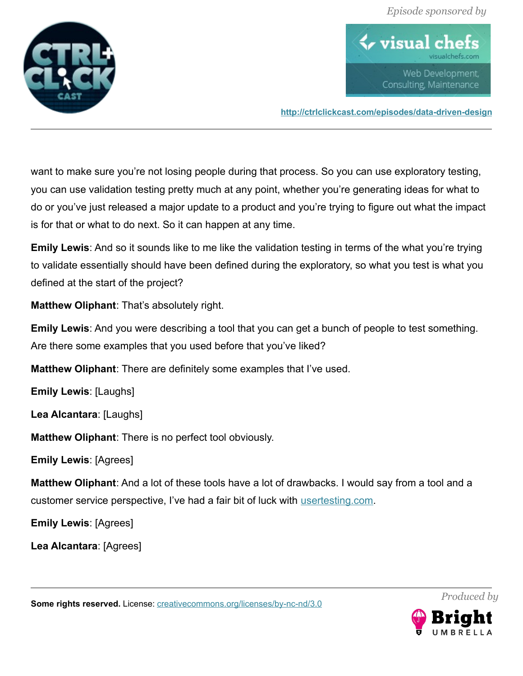

 $\blacklozenge$  visual ch Web Development, Consulting, Maintenance

**<http://ctrlclickcast.com/episodes/data-driven-design>**

want to make sure you're not losing people during that process. So you can use exploratory testing, you can use validation testing pretty much at any point, whether you're generating ideas for what to do or you've just released a major update to a product and you're trying to figure out what the impact is for that or what to do next. So it can happen at any time.

**Emily Lewis**: And so it sounds like to me like the validation testing in terms of the what you're trying to validate essentially should have been defined during the exploratory, so what you test is what you defined at the start of the project?

**Matthew Oliphant**: That's absolutely right.

**Emily Lewis**: And you were describing a tool that you can get a bunch of people to test something. Are there some examples that you used before that you've liked?

**Matthew Oliphant**: There are definitely some examples that I've used.

**Emily Lewis**: [Laughs]

**Lea Alcantara**: [Laughs]

**Matthew Oliphant**: There is no perfect tool obviously.

**Emily Lewis**: [Agrees]

**Matthew Oliphant**: And a lot of these tools have a lot of drawbacks. I would say from a tool and a customer service perspective, I've had a fair bit of luck with [usertesting.com.](http://usertesting.com/)

**Emily Lewis**: [Agrees]

**Lea Alcantara**: [Agrees]

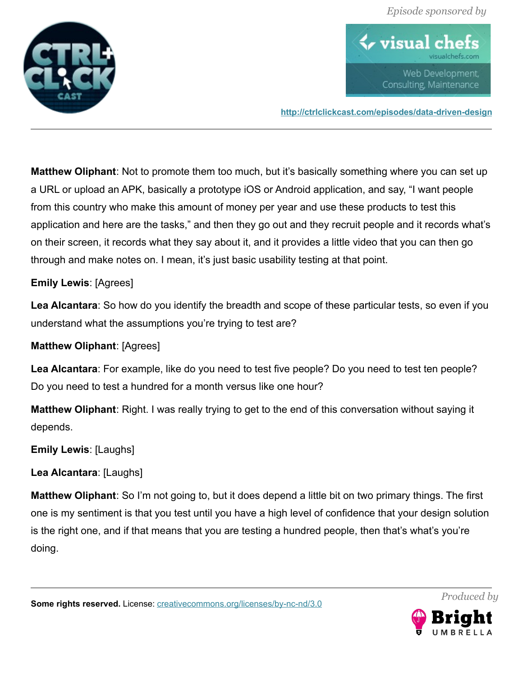

 $\blacklozenge$  visual ch Web Development, Consulting, Maintenance

**<http://ctrlclickcast.com/episodes/data-driven-design>**

**Matthew Oliphant**: Not to promote them too much, but it's basically something where you can set up a URL or upload an APK, basically a prototype iOS or Android application, and say, "I want people from this country who make this amount of money per year and use these products to test this application and here are the tasks," and then they go out and they recruit people and it records what's on their screen, it records what they say about it, and it provides a little video that you can then go through and make notes on. I mean, it's just basic usability testing at that point.

## **Emily Lewis**: [Agrees]

**Lea Alcantara**: So how do you identify the breadth and scope of these particular tests, so even if you understand what the assumptions you're trying to test are?

#### **Matthew Oliphant**: [Agrees]

**Lea Alcantara**: For example, like do you need to test five people? Do you need to test ten people? Do you need to test a hundred for a month versus like one hour?

**Matthew Oliphant**: Right. I was really trying to get to the end of this conversation without saying it depends.

**Emily Lewis**: [Laughs]

**Lea Alcantara**: [Laughs]

**Matthew Oliphant**: So I'm not going to, but it does depend a little bit on two primary things. The first one is my sentiment is that you test until you have a high level of confidence that your design solution is the right one, and if that means that you are testing a hundred people, then that's what's you're doing.

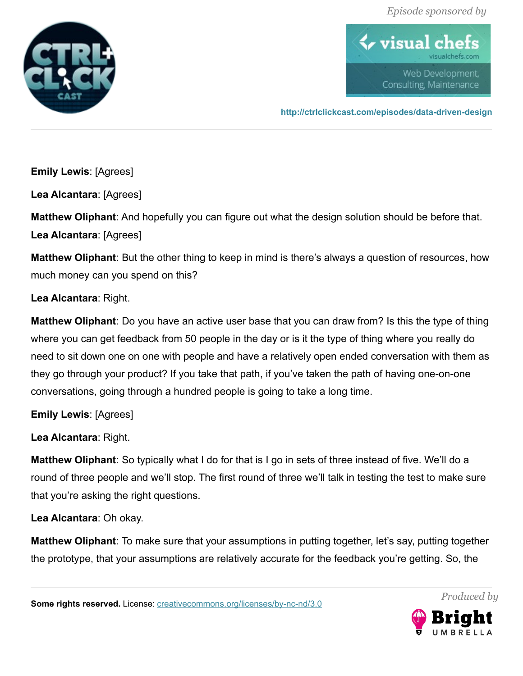

 $\blacklozenge$  visual c Web Development, Consulting, Maintenance

**<http://ctrlclickcast.com/episodes/data-driven-design>**

**Emily Lewis**: [Agrees]

**Lea Alcantara**: [Agrees]

**Matthew Oliphant**: And hopefully you can figure out what the design solution should be before that. **Lea Alcantara**: [Agrees]

**Matthew Oliphant**: But the other thing to keep in mind is there's always a question of resources, how much money can you spend on this?

**Lea Alcantara**: Right.

**Matthew Oliphant**: Do you have an active user base that you can draw from? Is this the type of thing where you can get feedback from 50 people in the day or is it the type of thing where you really do need to sit down one on one with people and have a relatively open ended conversation with them as they go through your product? If you take that path, if you've taken the path of having one-on-one conversations, going through a hundred people is going to take a long time.

**Emily Lewis**: [Agrees]

**Lea Alcantara**: Right.

**Matthew Oliphant**: So typically what I do for that is I go in sets of three instead of five. We'll do a round of three people and we'll stop. The first round of three we'll talk in testing the test to make sure that you're asking the right questions.

**Lea Alcantara**: Oh okay.

**Matthew Oliphant**: To make sure that your assumptions in putting together, let's say, putting together the prototype, that your assumptions are relatively accurate for the feedback you're getting. So, the

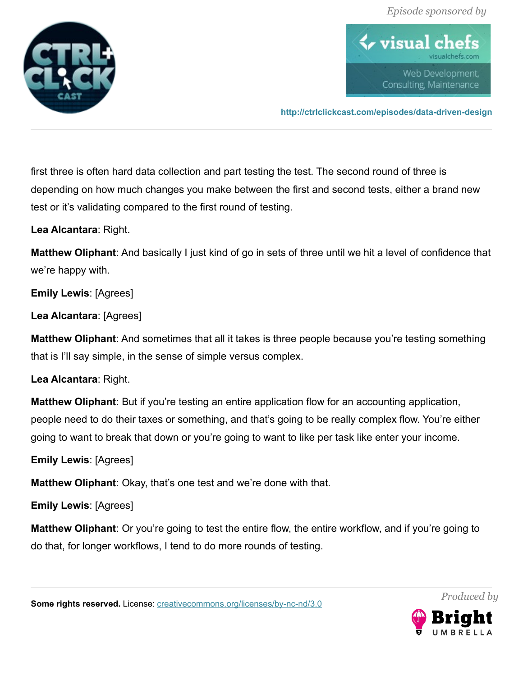

 $\blacklozenge$  visual ch Web Development, Consulting, Maintenance

**<http://ctrlclickcast.com/episodes/data-driven-design>**

first three is often hard data collection and part testing the test. The second round of three is depending on how much changes you make between the first and second tests, either a brand new test or it's validating compared to the first round of testing.

**Lea Alcantara**: Right.

**Matthew Oliphant**: And basically I just kind of go in sets of three until we hit a level of confidence that we're happy with.

**Emily Lewis**: [Agrees]

**Lea Alcantara**: [Agrees]

**Matthew Oliphant**: And sometimes that all it takes is three people because you're testing something that is I'll say simple, in the sense of simple versus complex.

## **Lea Alcantara**: Right.

**Matthew Oliphant**: But if you're testing an entire application flow for an accounting application, people need to do their taxes or something, and that's going to be really complex flow. You're either going to want to break that down or you're going to want to like per task like enter your income.

**Emily Lewis**: [Agrees]

**Matthew Oliphant**: Okay, that's one test and we're done with that.

**Emily Lewis**: [Agrees]

**Matthew Oliphant**: Or you're going to test the entire flow, the entire workflow, and if you're going to do that, for longer workflows, I tend to do more rounds of testing.

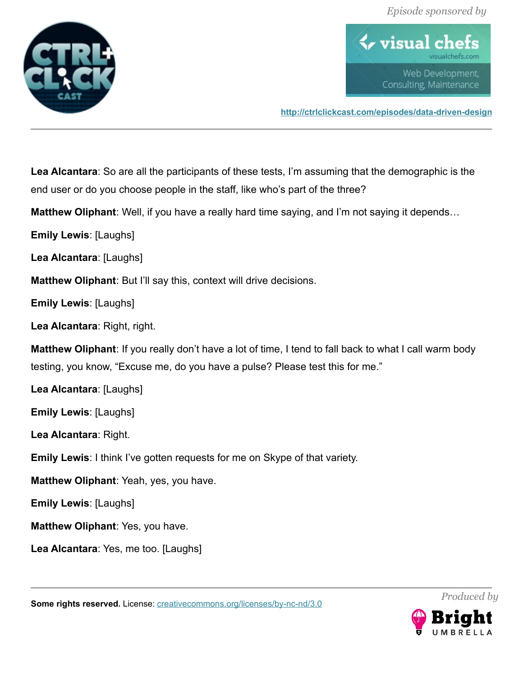

 $\blacklozenge$  visual ch Web Development, Consulting, Maintenance

**<http://ctrlclickcast.com/episodes/data-driven-design>**

**Lea Alcantara**: So are all the participants of these tests, I'm assuming that the demographic is the end user or do you choose people in the staff, like who's part of the three?

**Matthew Oliphant**: Well, if you have a really hard time saying, and I'm not saying it depends…

**Emily Lewis**: [Laughs]

**Lea Alcantara**: [Laughs]

**Matthew Oliphant**: But I'll say this, context will drive decisions.

**Emily Lewis**: [Laughs]

**Lea Alcantara**: Right, right.

**Matthew Oliphant**: If you really don't have a lot of time, I tend to fall back to what I call warm body testing, you know, "Excuse me, do you have a pulse? Please test this for me."

**Lea Alcantara**: [Laughs]

**Emily Lewis**: [Laughs]

**Lea Alcantara**: Right.

**Emily Lewis**: I think I've gotten requests for me on Skype of that variety.

**Matthew Oliphant**: Yeah, yes, you have.

**Emily Lewis**: [Laughs]

**Matthew Oliphant**: Yes, you have.

**Lea Alcantara**: Yes, me too. [Laughs]

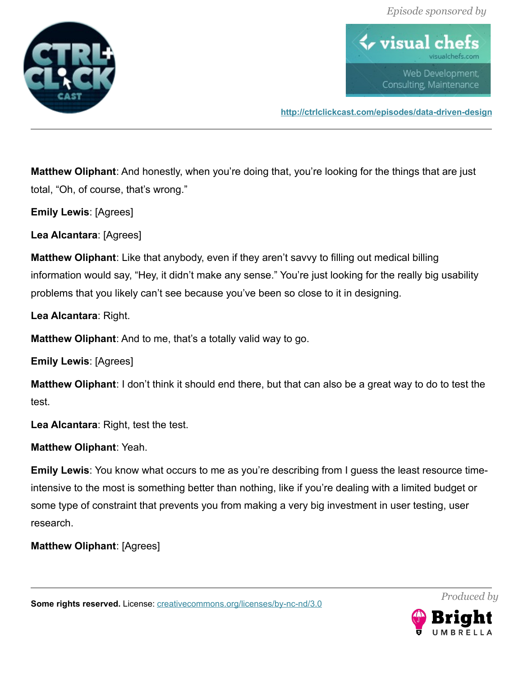

 $\blacklozenge$  visual ch Web Development, Consulting, Maintenance

**<http://ctrlclickcast.com/episodes/data-driven-design>**

**Matthew Oliphant**: And honestly, when you're doing that, you're looking for the things that are just total, "Oh, of course, that's wrong."

**Emily Lewis**: [Agrees]

**Lea Alcantara**: [Agrees]

**Matthew Oliphant**: Like that anybody, even if they aren't savvy to filling out medical billing information would say, "Hey, it didn't make any sense." You're just looking for the really big usability problems that you likely can't see because you've been so close to it in designing.

**Lea Alcantara**: Right.

**Matthew Oliphant**: And to me, that's a totally valid way to go.

**Emily Lewis**: [Agrees]

**Matthew Oliphant**: I don't think it should end there, but that can also be a great way to do to test the test.

**Lea Alcantara**: Right, test the test.

**Matthew Oliphant**: Yeah.

**Emily Lewis**: You know what occurs to me as you're describing from I guess the least resource timeintensive to the most is something better than nothing, like if you're dealing with a limited budget or some type of constraint that prevents you from making a very big investment in user testing, user research.

**Matthew Oliphant**: [Agrees]

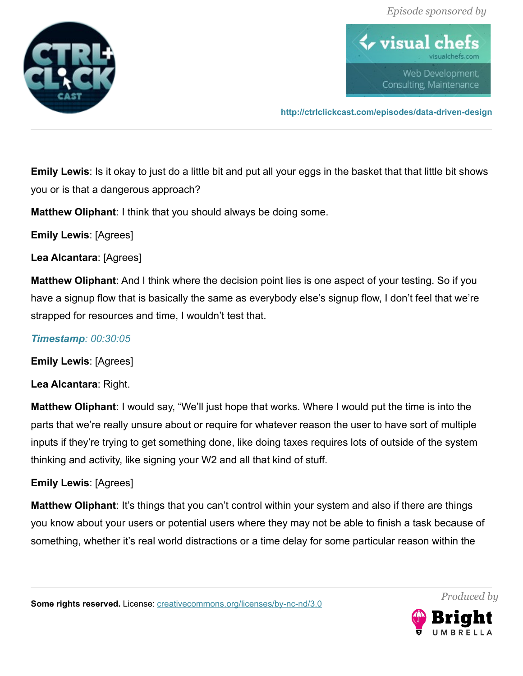

 $\blacklozenge$  visual ch Web Development, Consulting, Maintenance

**<http://ctrlclickcast.com/episodes/data-driven-design>**

**Emily Lewis**: Is it okay to just do a little bit and put all your eggs in the basket that that little bit shows you or is that a dangerous approach?

**Matthew Oliphant**: I think that you should always be doing some.

**Emily Lewis**: [Agrees]

**Lea Alcantara**: [Agrees]

**Matthew Oliphant**: And I think where the decision point lies is one aspect of your testing. So if you have a signup flow that is basically the same as everybody else's signup flow, I don't feel that we're strapped for resources and time, I wouldn't test that.

# *Timestamp: 00:30:05*

**Emily Lewis**: [Agrees]

**Lea Alcantara**: Right.

**Matthew Oliphant**: I would say, "We'll just hope that works. Where I would put the time is into the parts that we're really unsure about or require for whatever reason the user to have sort of multiple inputs if they're trying to get something done, like doing taxes requires lots of outside of the system thinking and activity, like signing your W2 and all that kind of stuff.

# **Emily Lewis**: [Agrees]

**Matthew Oliphant**: It's things that you can't control within your system and also if there are things you know about your users or potential users where they may not be able to finish a task because of something, whether it's real world distractions or a time delay for some particular reason within the

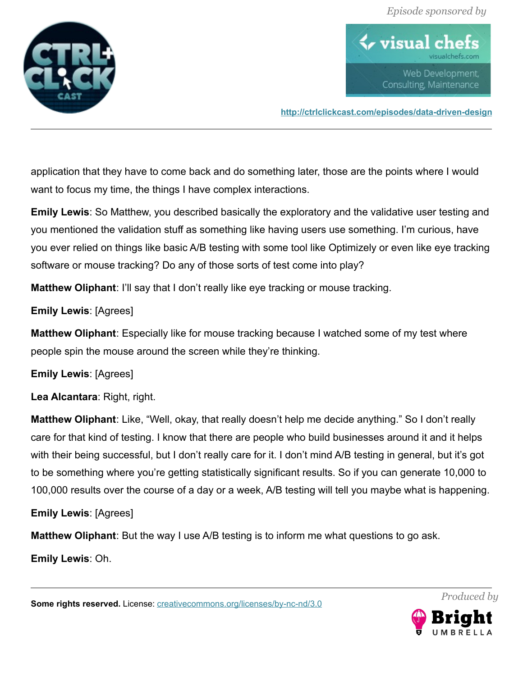

 $\blacklozenge$  visual ch Web Development, Consulting, Maintenance

**<http://ctrlclickcast.com/episodes/data-driven-design>**

application that they have to come back and do something later, those are the points where I would want to focus my time, the things I have complex interactions.

**Emily Lewis**: So Matthew, you described basically the exploratory and the validative user testing and you mentioned the validation stuff as something like having users use something. I'm curious, have you ever relied on things like basic A/B testing with some tool like Optimizely or even like eye tracking software or mouse tracking? Do any of those sorts of test come into play?

**Matthew Oliphant**: I'll say that I don't really like eye tracking or mouse tracking.

**Emily Lewis**: [Agrees]

**Matthew Oliphant**: Especially like for mouse tracking because I watched some of my test where people spin the mouse around the screen while they're thinking.

**Emily Lewis**: [Agrees]

**Lea Alcantara**: Right, right.

**Matthew Oliphant**: Like, "Well, okay, that really doesn't help me decide anything." So I don't really care for that kind of testing. I know that there are people who build businesses around it and it helps with their being successful, but I don't really care for it. I don't mind A/B testing in general, but it's got to be something where you're getting statistically significant results. So if you can generate 10,000 to 100,000 results over the course of a day or a week, A/B testing will tell you maybe what is happening.

**Emily Lewis**: [Agrees]

**Matthew Oliphant**: But the way I use A/B testing is to inform me what questions to go ask.

**Emily Lewis**: Oh.

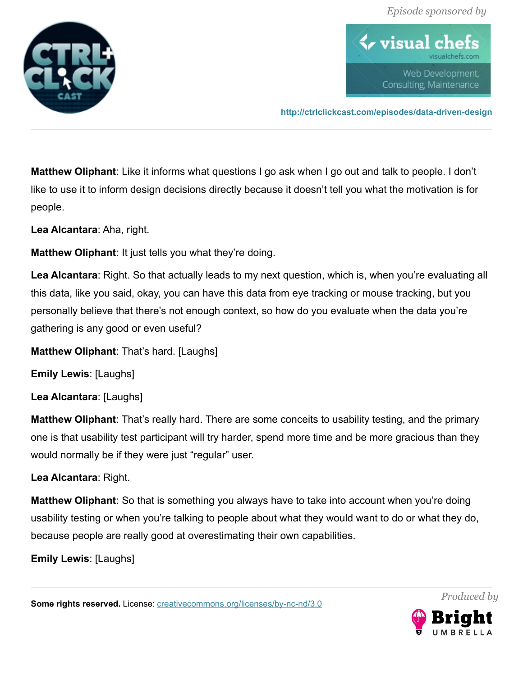

 $\bm{\leftrightarrow}$  visual cl Web Development, Consulting, Maintenance

**<http://ctrlclickcast.com/episodes/data-driven-design>**

**Matthew Oliphant**: Like it informs what questions I go ask when I go out and talk to people. I don't like to use it to inform design decisions directly because it doesn't tell you what the motivation is for people.

**Lea Alcantara**: Aha, right.

**Matthew Oliphant**: It just tells you what they're doing.

**Lea Alcantara**: Right. So that actually leads to my next question, which is, when you're evaluating all this data, like you said, okay, you can have this data from eye tracking or mouse tracking, but you personally believe that there's not enough context, so how do you evaluate when the data you're gathering is any good or even useful?

**Matthew Oliphant**: That's hard. [Laughs]

**Emily Lewis**: [Laughs]

**Lea Alcantara**: [Laughs]

**Matthew Oliphant**: That's really hard. There are some conceits to usability testing, and the primary one is that usability test participant will try harder, spend more time and be more gracious than they would normally be if they were just "regular" user.

**Lea Alcantara**: Right.

**Matthew Oliphant**: So that is something you always have to take into account when you're doing usability testing or when you're talking to people about what they would want to do or what they do, because people are really good at overestimating their own capabilities.

**Emily Lewis**: [Laughs]

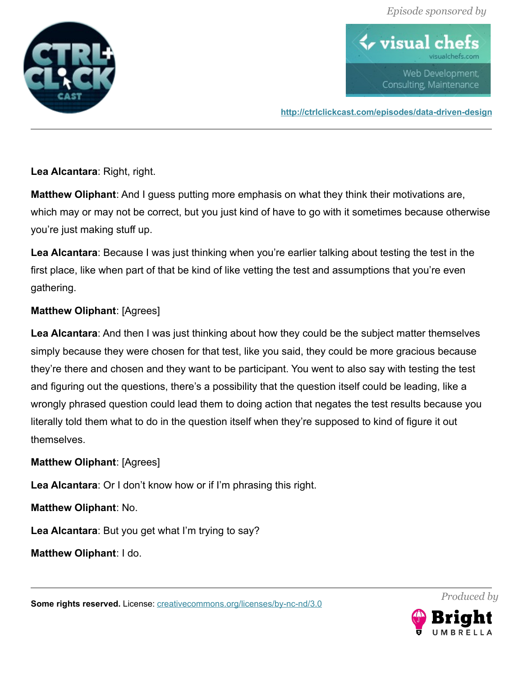

 $\bm{\leftrightarrow}$  visual cl Web Development, Consulting, Maintenance

**<http://ctrlclickcast.com/episodes/data-driven-design>**

**Lea Alcantara**: Right, right.

**Matthew Oliphant**: And I guess putting more emphasis on what they think their motivations are, which may or may not be correct, but you just kind of have to go with it sometimes because otherwise you're just making stuff up.

Lea Alcantara: Because I was just thinking when you're earlier talking about testing the test in the first place, like when part of that be kind of like vetting the test and assumptions that you're even gathering.

## **Matthew Oliphant**: [Agrees]

**Lea Alcantara**: And then I was just thinking about how they could be the subject matter themselves simply because they were chosen for that test, like you said, they could be more gracious because they're there and chosen and they want to be participant. You went to also say with testing the test and figuring out the questions, there's a possibility that the question itself could be leading, like a wrongly phrased question could lead them to doing action that negates the test results because you literally told them what to do in the question itself when they're supposed to kind of figure it out themselves.

**Matthew Oliphant**: [Agrees]

**Lea Alcantara**: Or I don't know how or if I'm phrasing this right.

**Matthew Oliphant**: No.

**Lea Alcantara**: But you get what I'm trying to say?

**Matthew Oliphant**: I do.

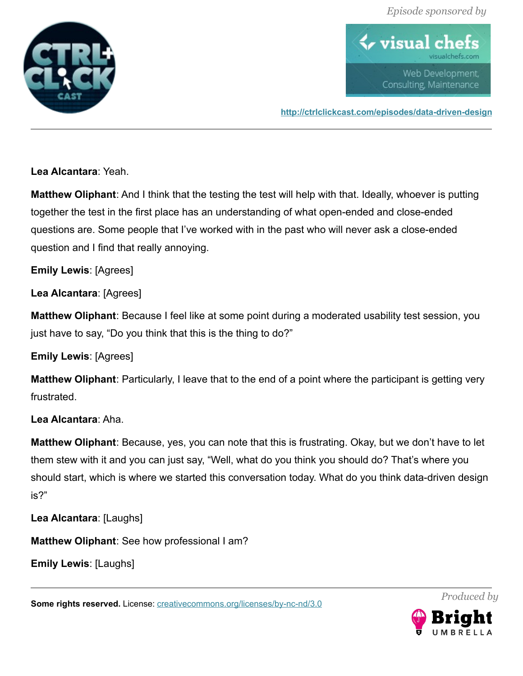

 $\blacklozenge$  visual ch Web Development, Consulting, Maintenance

**<http://ctrlclickcast.com/episodes/data-driven-design>**

**Lea Alcantara**: Yeah.

**Matthew Oliphant**: And I think that the testing the test will help with that. Ideally, whoever is putting together the test in the first place has an understanding of what open-ended and close-ended questions are. Some people that I've worked with in the past who will never ask a close-ended question and I find that really annoying.

**Emily Lewis**: [Agrees]

**Lea Alcantara**: [Agrees]

**Matthew Oliphant**: Because I feel like at some point during a moderated usability test session, you just have to say, "Do you think that this is the thing to do?"

**Emily Lewis**: [Agrees]

**Matthew Oliphant**: Particularly, I leave that to the end of a point where the participant is getting very frustrated.

## **Lea Alcantara**: Aha.

**Matthew Oliphant**: Because, yes, you can note that this is frustrating. Okay, but we don't have to let them stew with it and you can just say, "Well, what do you think you should do? That's where you should start, which is where we started this conversation today. What do you think data-driven design is?"

**Lea Alcantara**: [Laughs]

**Matthew Oliphant**: See how professional I am?

**Emily Lewis**: [Laughs]

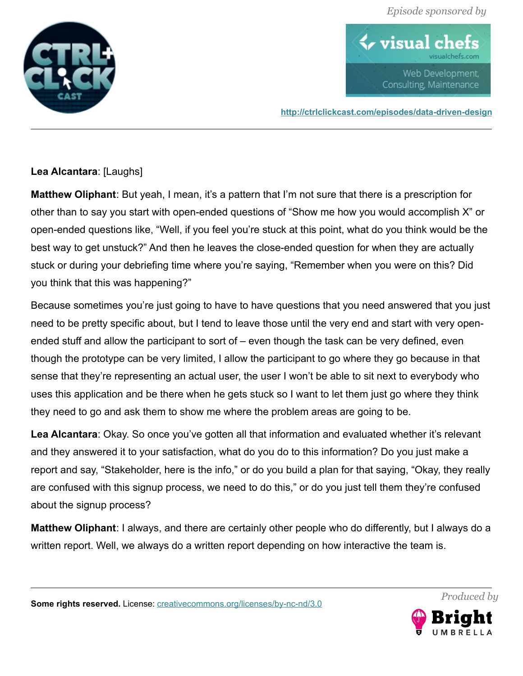

 $\blacklozenge$  visual ch Web Development, Consulting, Maintenance

**<http://ctrlclickcast.com/episodes/data-driven-design>**

## **Lea Alcantara**: [Laughs]

**Matthew Oliphant**: But yeah, I mean, it's a pattern that I'm not sure that there is a prescription for other than to say you start with open-ended questions of "Show me how you would accomplish X" or open-ended questions like, "Well, if you feel you're stuck at this point, what do you think would be the best way to get unstuck?" And then he leaves the close-ended question for when they are actually stuck or during your debriefing time where you're saying, "Remember when you were on this? Did you think that this was happening?"

Because sometimes you're just going to have to have questions that you need answered that you just need to be pretty specific about, but I tend to leave those until the very end and start with very openended stuff and allow the participant to sort of – even though the task can be very defined, even though the prototype can be very limited, I allow the participant to go where they go because in that sense that they're representing an actual user, the user I won't be able to sit next to everybody who uses this application and be there when he gets stuck so I want to let them just go where they think they need to go and ask them to show me where the problem areas are going to be.

**Lea Alcantara**: Okay. So once you've gotten all that information and evaluated whether it's relevant and they answered it to your satisfaction, what do you do to this information? Do you just make a report and say, "Stakeholder, here is the info," or do you build a plan for that saying, "Okay, they really are confused with this signup process, we need to do this," or do you just tell them they're confused about the signup process?

**Matthew Oliphant**: I always, and there are certainly other people who do differently, but I always do a written report. Well, we always do a written report depending on how interactive the team is.

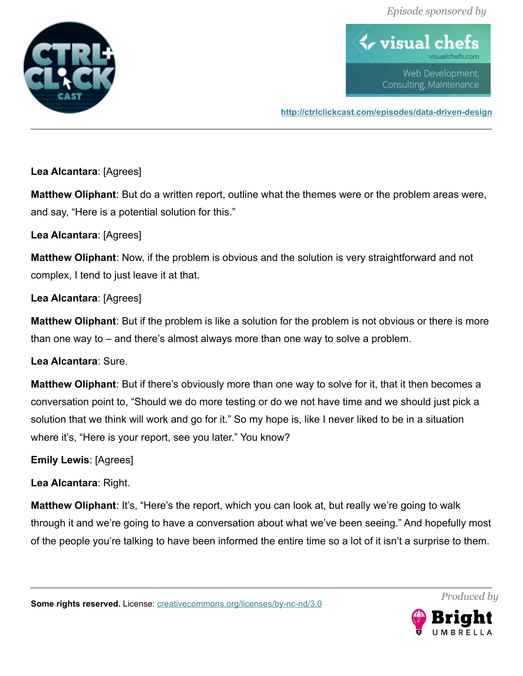

 $\blacklozenge$  visual ch Web Development, Consulting, Maintenance

**<http://ctrlclickcast.com/episodes/data-driven-design>**

**Lea Alcantara**: [Agrees]

**Matthew Oliphant**: But do a written report, outline what the themes were or the problem areas were, and say, "Here is a potential solution for this."

**Lea Alcantara**: [Agrees]

**Matthew Oliphant**: Now, if the problem is obvious and the solution is very straightforward and not complex, I tend to just leave it at that.

**Lea Alcantara**: [Agrees]

**Matthew Oliphant**: But if the problem is like a solution for the problem is not obvious or there is more than one way to – and there's almost always more than one way to solve a problem.

**Lea Alcantara**: Sure.

**Matthew Oliphant**: But if there's obviously more than one way to solve for it, that it then becomes a conversation point to, "Should we do more testing or do we not have time and we should just pick a solution that we think will work and go for it." So my hope is, like I never liked to be in a situation where it's, "Here is your report, see you later." You know?

**Emily Lewis**: [Agrees]

**Lea Alcantara**: Right.

**Matthew Oliphant:** It's, "Here's the report, which you can look at, but really we're going to walk through it and we're going to have a conversation about what we've been seeing." And hopefully most of the people you're talking to have been informed the entire time so a lot of it isn't a surprise to them.

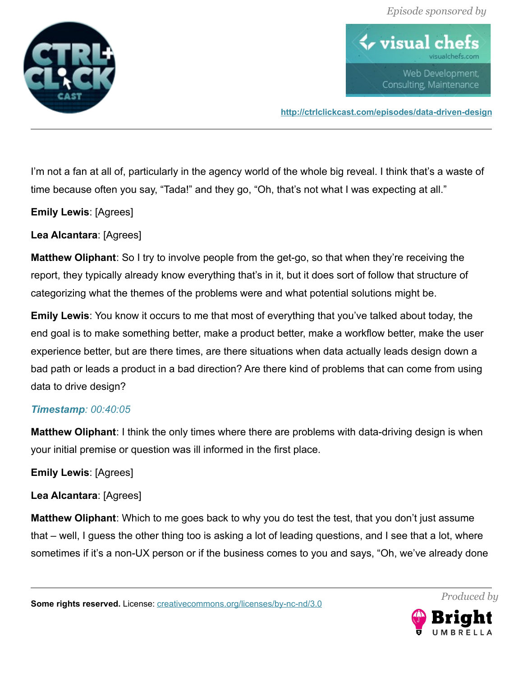

 $\blacklozenge$  visual ch Web Development, Consulting, Maintenance

**<http://ctrlclickcast.com/episodes/data-driven-design>**

I'm not a fan at all of, particularly in the agency world of the whole big reveal. I think that's a waste of time because often you say, "Tada!" and they go, "Oh, that's not what I was expecting at all."

**Emily Lewis**: [Agrees]

**Lea Alcantara**: [Agrees]

**Matthew Oliphant**: So I try to involve people from the get-go, so that when they're receiving the report, they typically already know everything that's in it, but it does sort of follow that structure of categorizing what the themes of the problems were and what potential solutions might be.

**Emily Lewis**: You know it occurs to me that most of everything that you've talked about today, the end goal is to make something better, make a product better, make a workflow better, make the user experience better, but are there times, are there situations when data actually leads design down a bad path or leads a product in a bad direction? Are there kind of problems that can come from using data to drive design?

#### *Timestamp: 00:40:05*

**Matthew Oliphant**: I think the only times where there are problems with data-driving design is when your initial premise or question was ill informed in the first place.

#### **Emily Lewis**: [Agrees]

## **Lea Alcantara**: [Agrees]

**Matthew Oliphant**: Which to me goes back to why you do test the test, that you don't just assume that – well, I guess the other thing too is asking a lot of leading questions, and I see that a lot, where sometimes if it's a non-UX person or if the business comes to you and says, "Oh, we've already done

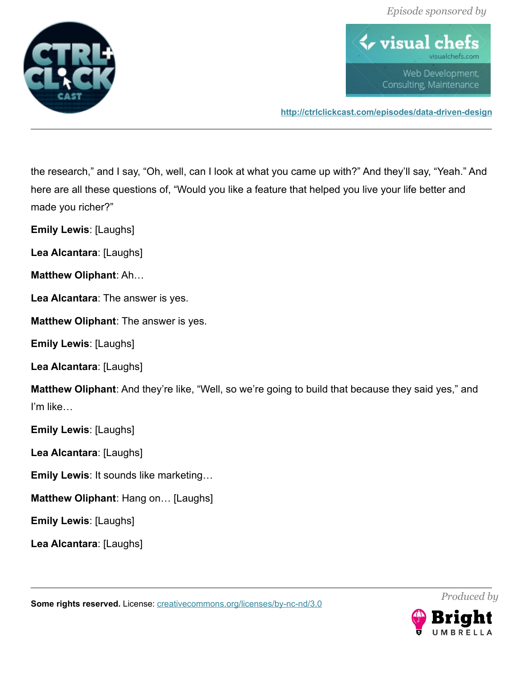



**<http://ctrlclickcast.com/episodes/data-driven-design>**

the research," and I say, "Oh, well, can I look at what you came up with?" And they'll say, "Yeah." And here are all these questions of, "Would you like a feature that helped you live your life better and made you richer?"

**Emily Lewis**: [Laughs]

**Lea Alcantara**: [Laughs]

**Matthew Oliphant**: Ah…

**Lea Alcantara**: The answer is yes.

**Matthew Oliphant**: The answer is yes.

**Emily Lewis**: [Laughs]

**Lea Alcantara**: [Laughs]

**Matthew Oliphant**: And they're like, "Well, so we're going to build that because they said yes," and I'm like…

**Emily Lewis**: [Laughs]

**Lea Alcantara**: [Laughs]

- **Emily Lewis**: It sounds like marketing…
- **Matthew Oliphant**: Hang on… [Laughs]

**Emily Lewis**: [Laughs]

**Lea Alcantara**: [Laughs]

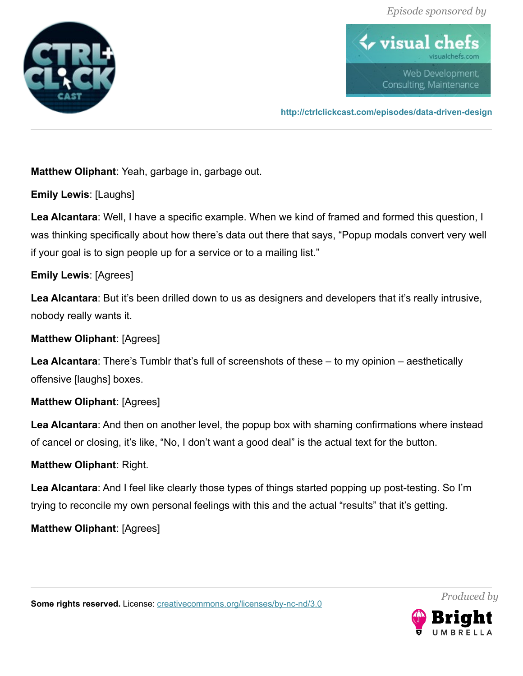

 $\blacklozenge$  visual ch Web Development, Consulting, Maintenance

**<http://ctrlclickcast.com/episodes/data-driven-design>**

**Matthew Oliphant**: Yeah, garbage in, garbage out.

**Emily Lewis**: [Laughs]

**Lea Alcantara**: Well, I have a specific example. When we kind of framed and formed this question, I was thinking specifically about how there's data out there that says, "Popup modals convert very well if your goal is to sign people up for a service or to a mailing list."

### **Emily Lewis**: [Agrees]

**Lea Alcantara**: But it's been drilled down to us as designers and developers that it's really intrusive, nobody really wants it.

#### **Matthew Oliphant**: [Agrees]

**Lea Alcantara**: There's Tumblr that's full of screenshots of these – to my opinion – aesthetically offensive [laughs] boxes.

## **Matthew Oliphant**: [Agrees]

**Lea Alcantara**: And then on another level, the popup box with shaming confirmations where instead of cancel or closing, it's like, "No, I don't want a good deal" is the actual text for the button.

## **Matthew Oliphant**: Right.

**Lea Alcantara**: And I feel like clearly those types of things started popping up post-testing. So I'm trying to reconcile my own personal feelings with this and the actual "results" that it's getting.

## **Matthew Oliphant**: [Agrees]

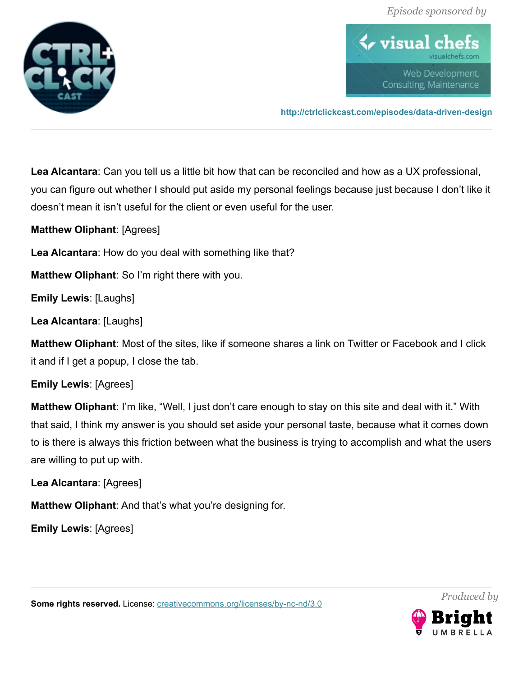

 $\blacklozenge$  visual ch Web Development, Consulting, Maintenance

**<http://ctrlclickcast.com/episodes/data-driven-design>**

**Lea Alcantara**: Can you tell us a little bit how that can be reconciled and how as a UX professional, you can figure out whether I should put aside my personal feelings because just because I don't like it doesn't mean it isn't useful for the client or even useful for the user.

**Matthew Oliphant**: [Agrees]

**Lea Alcantara**: How do you deal with something like that?

**Matthew Oliphant**: So I'm right there with you.

**Emily Lewis**: [Laughs]

**Lea Alcantara**: [Laughs]

**Matthew Oliphant**: Most of the sites, like if someone shares a link on Twitter or Facebook and I click it and if I get a popup, I close the tab.

## **Emily Lewis**: [Agrees]

**Matthew Oliphant**: I'm like, "Well, I just don't care enough to stay on this site and deal with it." With that said, I think my answer is you should set aside your personal taste, because what it comes down to is there is always this friction between what the business is trying to accomplish and what the users are willing to put up with.

## **Lea Alcantara**: [Agrees]

**Matthew Oliphant**: And that's what you're designing for.

**Emily Lewis**: [Agrees]

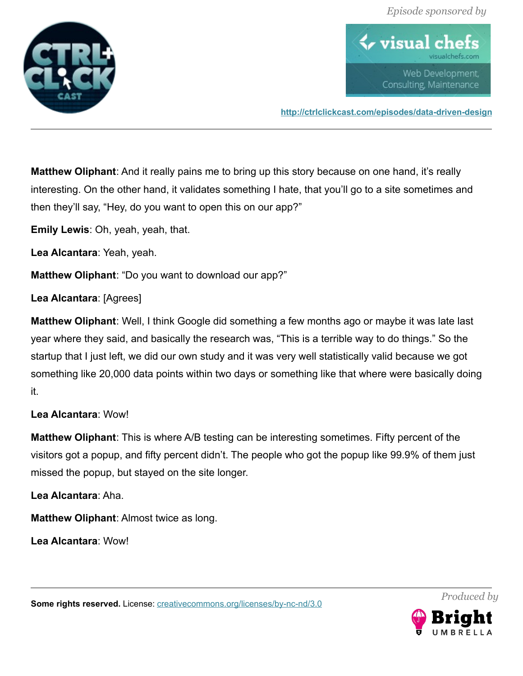

 $\blacklozenge$  visual ch Web Development, Consulting, Maintenance

**<http://ctrlclickcast.com/episodes/data-driven-design>**

**Matthew Oliphant**: And it really pains me to bring up this story because on one hand, it's really interesting. On the other hand, it validates something I hate, that you'll go to a site sometimes and then they'll say, "Hey, do you want to open this on our app?"

**Emily Lewis**: Oh, yeah, yeah, that.

**Lea Alcantara**: Yeah, yeah.

**Matthew Oliphant**: "Do you want to download our app?"

**Lea Alcantara**: [Agrees]

**Matthew Oliphant**: Well, I think Google did something a few months ago or maybe it was late last year where they said, and basically the research was, "This is a terrible way to do things." So the startup that I just left, we did our own study and it was very well statistically valid because we got something like 20,000 data points within two days or something like that where were basically doing it.

## **Lea Alcantara**: Wow!

**Matthew Oliphant**: This is where A/B testing can be interesting sometimes. Fifty percent of the visitors got a popup, and fifty percent didn't. The people who got the popup like 99.9% of them just missed the popup, but stayed on the site longer.

**Lea Alcantara**: Aha.

**Matthew Oliphant**: Almost twice as long.

**Lea Alcantara**: Wow!

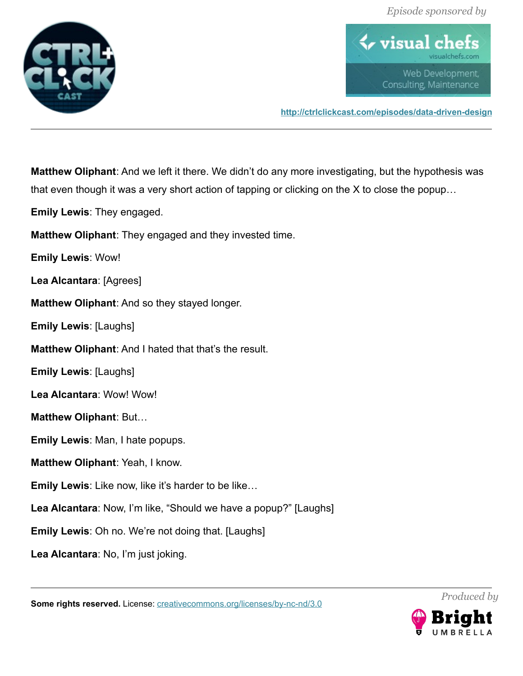

 $\blacklozenge$  visual ch Web Development, Consulting, Maintenance

**<http://ctrlclickcast.com/episodes/data-driven-design>**

**Matthew Oliphant**: And we left it there. We didn't do any more investigating, but the hypothesis was that even though it was a very short action of tapping or clicking on the X to close the popup…

**Emily Lewis**: They engaged.

**Matthew Oliphant**: They engaged and they invested time.

**Emily Lewis**: Wow!

**Lea Alcantara**: [Agrees]

**Matthew Oliphant**: And so they stayed longer.

**Emily Lewis**: [Laughs]

**Matthew Oliphant**: And I hated that that's the result.

**Emily Lewis**: [Laughs]

**Lea Alcantara**: Wow! Wow!

**Matthew Oliphant**: But…

**Emily Lewis**: Man, I hate popups.

**Matthew Oliphant**: Yeah, I know.

**Emily Lewis**: Like now, like it's harder to be like…

**Lea Alcantara**: Now, I'm like, "Should we have a popup?" [Laughs]

**Emily Lewis**: Oh no. We're not doing that. [Laughs]

**Lea Alcantara**: No, I'm just joking.

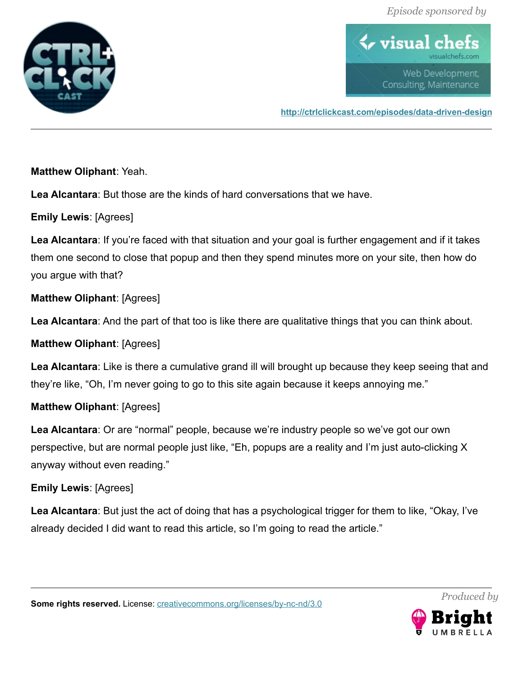

 $\blacklozenge$  visual ch Web Development, Consulting, Maintenance

**<http://ctrlclickcast.com/episodes/data-driven-design>**

**Matthew Oliphant**: Yeah.

**Lea Alcantara**: But those are the kinds of hard conversations that we have.

**Emily Lewis**: [Agrees]

**Lea Alcantara**: If you're faced with that situation and your goal is further engagement and if it takes them one second to close that popup and then they spend minutes more on your site, then how do you argue with that?

**Matthew Oliphant**: [Agrees]

**Lea Alcantara**: And the part of that too is like there are qualitative things that you can think about.

**Matthew Oliphant**: [Agrees]

**Lea Alcantara**: Like is there a cumulative grand ill will brought up because they keep seeing that and they're like, "Oh, I'm never going to go to this site again because it keeps annoying me."

**Matthew Oliphant**: [Agrees]

**Lea Alcantara**: Or are "normal" people, because we're industry people so we've got our own perspective, but are normal people just like, "Eh, popups are a reality and I'm just auto-clicking X anyway without even reading."

# **Emily Lewis**: [Agrees]

**Lea Alcantara**: But just the act of doing that has a psychological trigger for them to like, "Okay, I've already decided I did want to read this article, so I'm going to read the article."

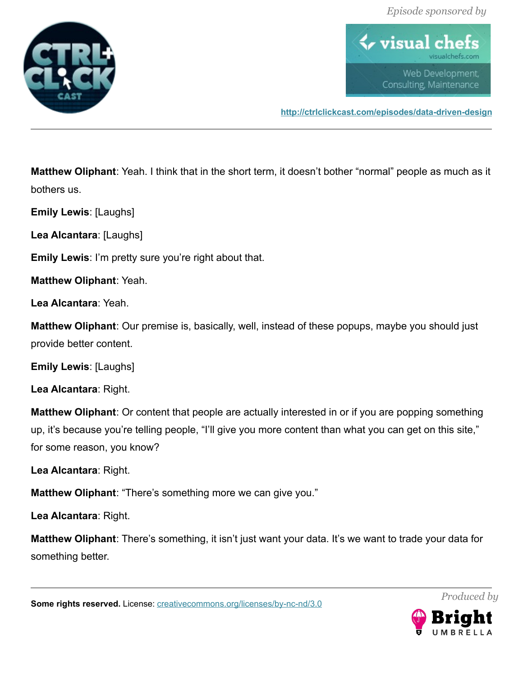

 $\blacklozenge$  visual ch Web Development, Consulting, Maintenance

**<http://ctrlclickcast.com/episodes/data-driven-design>**

**Matthew Oliphant**: Yeah. I think that in the short term, it doesn't bother "normal" people as much as it bothers us.

**Emily Lewis**: [Laughs]

**Lea Alcantara**: [Laughs]

**Emily Lewis**: I'm pretty sure you're right about that.

**Matthew Oliphant**: Yeah.

**Lea Alcantara**: Yeah.

**Matthew Oliphant**: Our premise is, basically, well, instead of these popups, maybe you should just provide better content.

**Emily Lewis**: [Laughs]

**Lea Alcantara**: Right.

**Matthew Oliphant**: Or content that people are actually interested in or if you are popping something up, it's because you're telling people, "I'll give you more content than what you can get on this site," for some reason, you know?

**Lea Alcantara**: Right.

**Matthew Oliphant**: "There's something more we can give you."

**Lea Alcantara**: Right.

**Matthew Oliphant**: There's something, it isn't just want your data. It's we want to trade your data for something better.

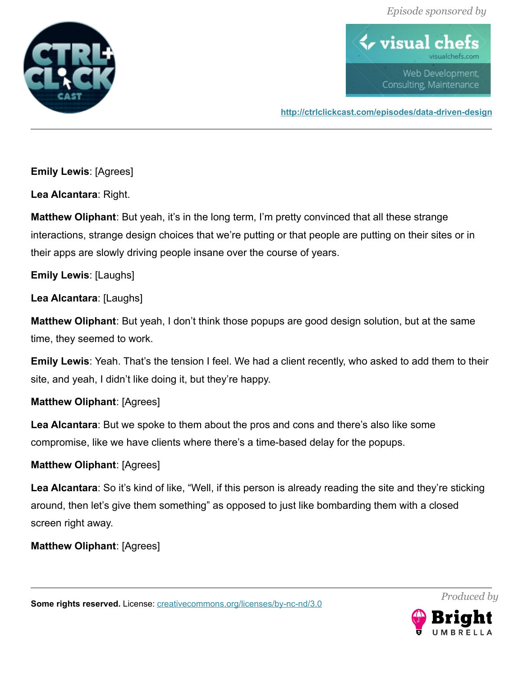

 $\blacklozenge$  visual ch Web Development, Consulting, Maintenance

**<http://ctrlclickcast.com/episodes/data-driven-design>**

**Emily Lewis**: [Agrees]

**Lea Alcantara**: Right.

**Matthew Oliphant**: But yeah, it's in the long term, I'm pretty convinced that all these strange interactions, strange design choices that we're putting or that people are putting on their sites or in their apps are slowly driving people insane over the course of years.

**Emily Lewis**: [Laughs]

**Lea Alcantara**: [Laughs]

**Matthew Oliphant**: But yeah, I don't think those popups are good design solution, but at the same time, they seemed to work.

**Emily Lewis**: Yeah. That's the tension I feel. We had a client recently, who asked to add them to their site, and yeah, I didn't like doing it, but they're happy.

**Matthew Oliphant**: [Agrees]

**Lea Alcantara**: But we spoke to them about the pros and cons and there's also like some compromise, like we have clients where there's a time-based delay for the popups.

# **Matthew Oliphant**: [Agrees]

**Lea Alcantara**: So it's kind of like, "Well, if this person is already reading the site and they're sticking around, then let's give them something" as opposed to just like bombarding them with a closed screen right away.

**Matthew Oliphant**: [Agrees]

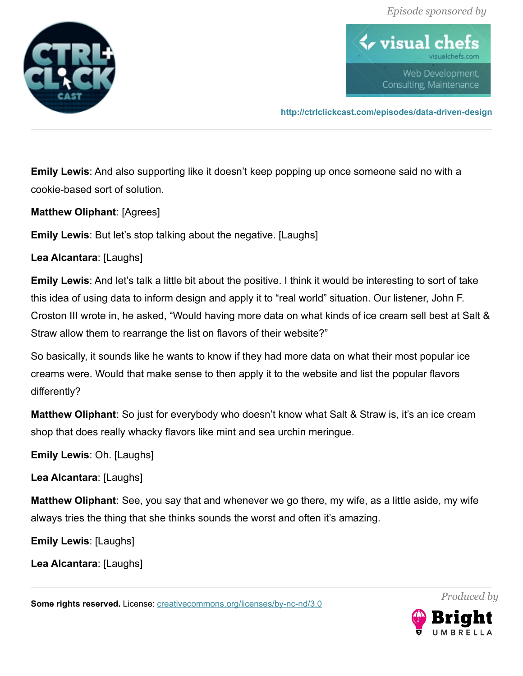

 $\blacklozenge$  visual ch Web Development, Consulting, Maintenance

**<http://ctrlclickcast.com/episodes/data-driven-design>**

**Emily Lewis**: And also supporting like it doesn't keep popping up once someone said no with a cookie-based sort of solution.

**Matthew Oliphant**: [Agrees]

**Emily Lewis**: But let's stop talking about the negative. [Laughs]

**Lea Alcantara**: [Laughs]

**Emily Lewis**: And let's talk a little bit about the positive. I think it would be interesting to sort of take this idea of using data to inform design and apply it to "real world" situation. Our listener, John F. Croston III wrote in, he asked, "Would having more data on what kinds of ice cream sell best at Salt & Straw allow them to rearrange the list on flavors of their website?"

So basically, it sounds like he wants to know if they had more data on what their most popular ice creams were. Would that make sense to then apply it to the website and list the popular flavors differently?

**Matthew Oliphant**: So just for everybody who doesn't know what Salt & Straw is, it's an ice cream shop that does really whacky flavors like mint and sea urchin meringue.

**Emily Lewis**: Oh. [Laughs]

**Lea Alcantara**: [Laughs]

**Matthew Oliphant**: See, you say that and whenever we go there, my wife, as a little aside, my wife always tries the thing that she thinks sounds the worst and often it's amazing.

**Emily Lewis**: [Laughs]

**Lea Alcantara**: [Laughs]

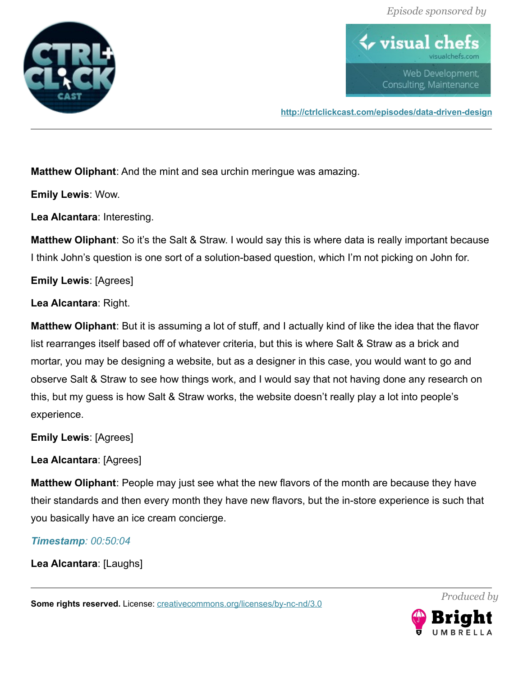

 $\blacklozenge$  visual ch Web Development, Consulting, Maintenance

**<http://ctrlclickcast.com/episodes/data-driven-design>**

**Matthew Oliphant**: And the mint and sea urchin meringue was amazing.

**Emily Lewis**: Wow.

**Lea Alcantara**: Interesting.

**Matthew Oliphant**: So it's the Salt & Straw. I would say this is where data is really important because I think John's question is one sort of a solution-based question, which I'm not picking on John for.

**Emily Lewis**: [Agrees]

**Lea Alcantara**: Right.

**Matthew Oliphant**: But it is assuming a lot of stuff, and I actually kind of like the idea that the flavor list rearranges itself based off of whatever criteria, but this is where Salt & Straw as a brick and mortar, you may be designing a website, but as a designer in this case, you would want to go and observe Salt & Straw to see how things work, and I would say that not having done any research on this, but my guess is how Salt & Straw works, the website doesn't really play a lot into people's experience.

**Emily Lewis**: [Agrees]

**Lea Alcantara**: [Agrees]

**Matthew Oliphant**: People may just see what the new flavors of the month are because they have their standards and then every month they have new flavors, but the in-store experience is such that you basically have an ice cream concierge.

*Timestamp: 00:50:04*

**Lea Alcantara**: [Laughs]

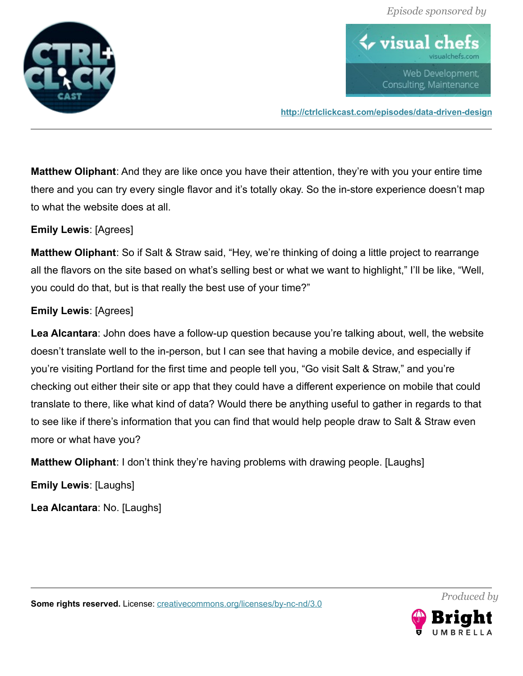

 $\bm{\leftrightarrow}$  visual c Web Development, Consulting, Maintenance

**<http://ctrlclickcast.com/episodes/data-driven-design>**

**Matthew Oliphant**: And they are like once you have their attention, they're with you your entire time there and you can try every single flavor and it's totally okay. So the in-store experience doesn't map to what the website does at all.

**Emily Lewis**: [Agrees]

**Matthew Oliphant**: So if Salt & Straw said, "Hey, we're thinking of doing a little project to rearrange all the flavors on the site based on what's selling best or what we want to highlight," I'll be like, "Well, you could do that, but is that really the best use of your time?"

### **Emily Lewis**: [Agrees]

**Lea Alcantara**: John does have a follow-up question because you're talking about, well, the website doesn't translate well to the in-person, but I can see that having a mobile device, and especially if you're visiting Portland for the first time and people tell you, "Go visit Salt & Straw," and you're checking out either their site or app that they could have a different experience on mobile that could translate to there, like what kind of data? Would there be anything useful to gather in regards to that to see like if there's information that you can find that would help people draw to Salt & Straw even more or what have you?

**Matthew Oliphant**: I don't think they're having problems with drawing people. [Laughs]

**Emily Lewis**: [Laughs]

**Lea Alcantara**: No. [Laughs]



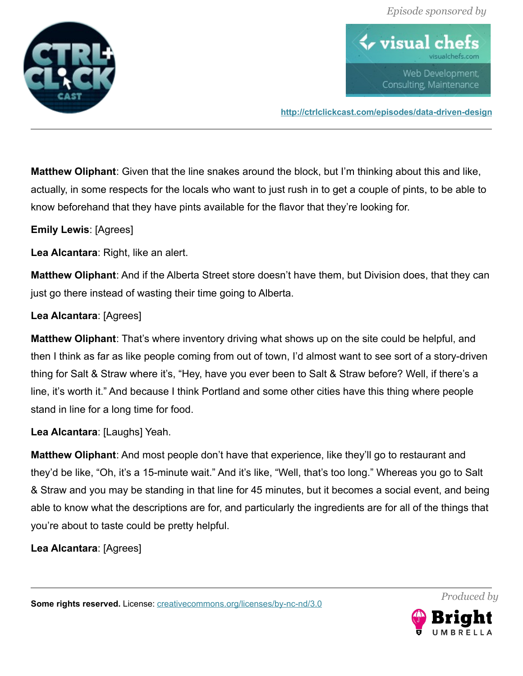

 $\blacklozenge$  visual ch Web Development, Consulting, Maintenance

**<http://ctrlclickcast.com/episodes/data-driven-design>**

**Matthew Oliphant**: Given that the line snakes around the block, but I'm thinking about this and like, actually, in some respects for the locals who want to just rush in to get a couple of pints, to be able to know beforehand that they have pints available for the flavor that they're looking for.

**Emily Lewis**: [Agrees]

**Lea Alcantara**: Right, like an alert.

**Matthew Oliphant**: And if the Alberta Street store doesn't have them, but Division does, that they can just go there instead of wasting their time going to Alberta.

### **Lea Alcantara**: [Agrees]

**Matthew Oliphant**: That's where inventory driving what shows up on the site could be helpful, and then I think as far as like people coming from out of town, I'd almost want to see sort of a story-driven thing for Salt & Straw where it's, "Hey, have you ever been to Salt & Straw before? Well, if there's a line, it's worth it." And because I think Portland and some other cities have this thing where people stand in line for a long time for food.

**Lea Alcantara**: [Laughs] Yeah.

**Matthew Oliphant**: And most people don't have that experience, like they'll go to restaurant and they'd be like, "Oh, it's a 15-minute wait." And it's like, "Well, that's too long." Whereas you go to Salt & Straw and you may be standing in that line for 45 minutes, but it becomes a social event, and being able to know what the descriptions are for, and particularly the ingredients are for all of the things that you're about to taste could be pretty helpful.

**Lea Alcantara**: [Agrees]

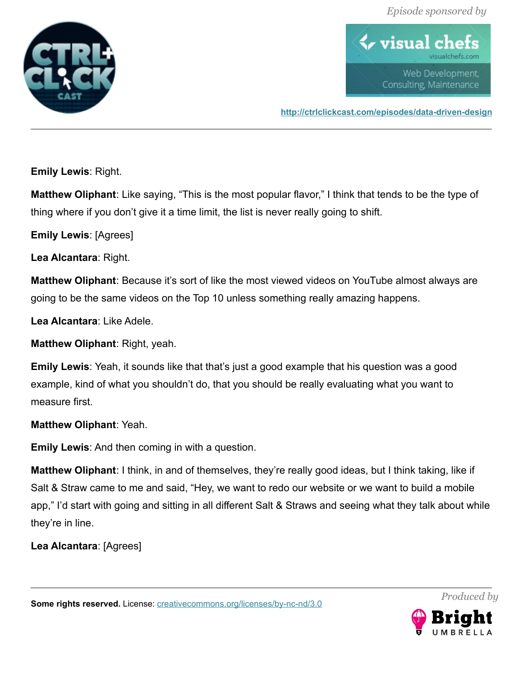

 $\blacklozenge$  visual ch Web Development, Consulting, Maintenance

**<http://ctrlclickcast.com/episodes/data-driven-design>**

**Emily Lewis**: Right.

**Matthew Oliphant**: Like saying, "This is the most popular flavor," I think that tends to be the type of thing where if you don't give it a time limit, the list is never really going to shift.

**Emily Lewis**: [Agrees]

**Lea Alcantara**: Right.

**Matthew Oliphant**: Because it's sort of like the most viewed videos on YouTube almost always are going to be the same videos on the Top 10 unless something really amazing happens.

**Lea Alcantara**: Like Adele.

**Matthew Oliphant**: Right, yeah.

**Emily Lewis**: Yeah, it sounds like that that's just a good example that his question was a good example, kind of what you shouldn't do, that you should be really evaluating what you want to measure first.

**Matthew Oliphant**: Yeah.

**Emily Lewis**: And then coming in with a question.

**Matthew Oliphant**: I think, in and of themselves, they're really good ideas, but I think taking, like if Salt & Straw came to me and said, "Hey, we want to redo our website or we want to build a mobile app," I'd start with going and sitting in all different Salt & Straws and seeing what they talk about while they're in line.

**Lea Alcantara**: [Agrees]

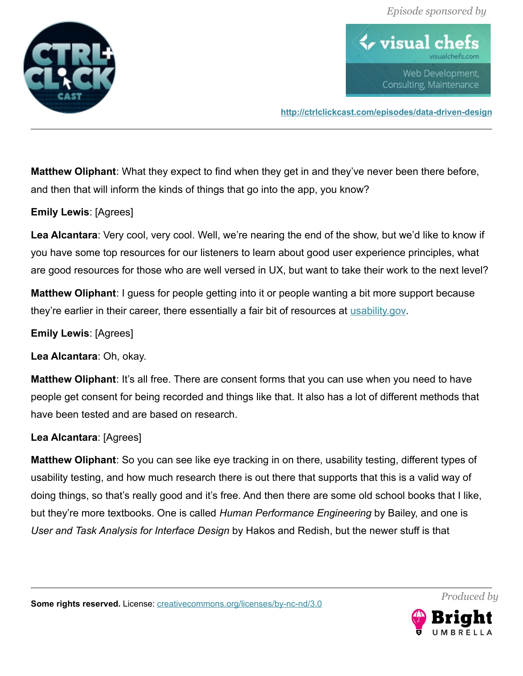

 $\blacklozenge$  visual ch Web Development, Consulting, Maintenance

**<http://ctrlclickcast.com/episodes/data-driven-design>**

**Matthew Oliphant**: What they expect to find when they get in and they've never been there before, and then that will inform the kinds of things that go into the app, you know?

## **Emily Lewis**: [Agrees]

**Lea Alcantara**: Very cool, very cool. Well, we're nearing the end of the show, but we'd like to know if you have some top resources for our listeners to learn about good user experience principles, what are good resources for those who are well versed in UX, but want to take their work to the next level?

**Matthew Oliphant**: I guess for people getting into it or people wanting a bit more support because they're earlier in their career, there essentially a fair bit of resources at [usability.gov.](http://usability.gov/)

**Emily Lewis**: [Agrees]

**Lea Alcantara**: Oh, okay.

**Matthew Oliphant**: It's all free. There are consent forms that you can use when you need to have people get consent for being recorded and things like that. It also has a lot of different methods that have been tested and are based on research.

## **Lea Alcantara**: [Agrees]

**Matthew Oliphant**: So you can see like eye tracking in on there, usability testing, different types of usability testing, and how much research there is out there that supports that this is a valid way of doing things, so that's really good and it's free. And then there are some old school books that I like, but they're more textbooks. One is called *Human Performance Engineering* by Bailey, and one is *User and Task Analysis for Interface Design* by Hakos and Redish, but the newer stuff is that

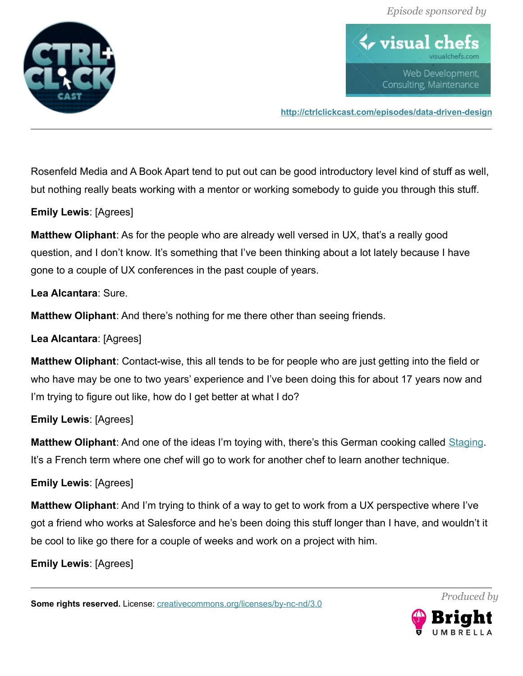

 $\blacklozenge$  visual ch Web Development, Consulting, Maintenance

**<http://ctrlclickcast.com/episodes/data-driven-design>**

Rosenfeld Media and A Book Apart tend to put out can be good introductory level kind of stuff as well, but nothing really beats working with a mentor or working somebody to guide you through this stuff.

## **Emily Lewis**: [Agrees]

**Matthew Oliphant**: As for the people who are already well versed in UX, that's a really good question, and I don't know. It's something that I've been thinking about a lot lately because I have gone to a couple of UX conferences in the past couple of years.

### **Lea Alcantara**: Sure.

**Matthew Oliphant**: And there's nothing for me there other than seeing friends.

**Lea Alcantara**: [Agrees]

**Matthew Oliphant**: Contact-wise, this all tends to be for people who are just getting into the field or who have may be one to two years' experience and I've been doing this for about 17 years now and I'm trying to figure out like, how do I get better at what I do?

## **Emily Lewis**: [Agrees]

**Matthew Oliphant**: And one of the ideas I'm toying with, there's this German cooking called [Staging.](https://en.wikipedia.org/wiki/Stage_(cooking)) It's a French term where one chef will go to work for another chef to learn another technique.

## **Emily Lewis**: [Agrees]

**Matthew Oliphant**: And I'm trying to think of a way to get to work from a UX perspective where I've got a friend who works at Salesforce and he's been doing this stuff longer than I have, and wouldn't it be cool to like go there for a couple of weeks and work on a project with him.

#### **Emily Lewis**: [Agrees]

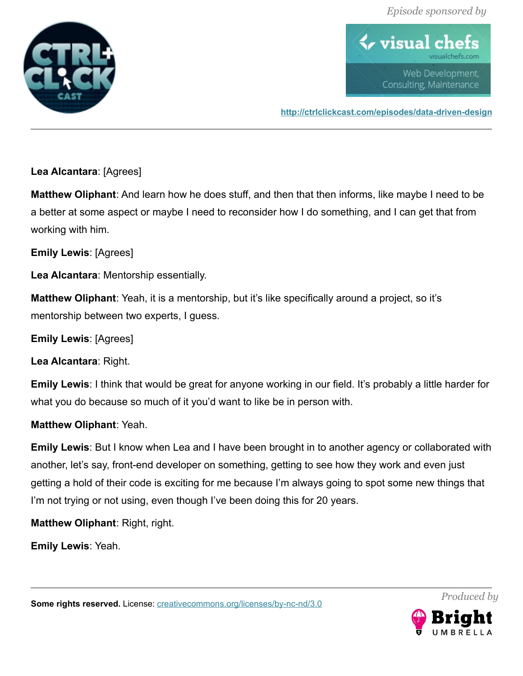

 $\blacklozenge$  visual ch Web Development, Consulting, Maintenance

**<http://ctrlclickcast.com/episodes/data-driven-design>**

**Lea Alcantara**: [Agrees]

**Matthew Oliphant**: And learn how he does stuff, and then that then informs, like maybe I need to be a better at some aspect or maybe I need to reconsider how I do something, and I can get that from working with him.

**Emily Lewis**: [Agrees]

**Lea Alcantara**: Mentorship essentially.

**Matthew Oliphant**: Yeah, it is a mentorship, but it's like specifically around a project, so it's mentorship between two experts, I guess.

**Emily Lewis**: [Agrees]

**Lea Alcantara**: Right.

**Emily Lewis**: I think that would be great for anyone working in our field. It's probably a little harder for what you do because so much of it you'd want to like be in person with.

**Matthew Oliphant**: Yeah.

**Emily Lewis**: But I know when Lea and I have been brought in to another agency or collaborated with another, let's say, front-end developer on something, getting to see how they work and even just getting a hold of their code is exciting for me because I'm always going to spot some new things that I'm not trying or not using, even though I've been doing this for 20 years.

**Matthew Oliphant**: Right, right.

**Emily Lewis**: Yeah.

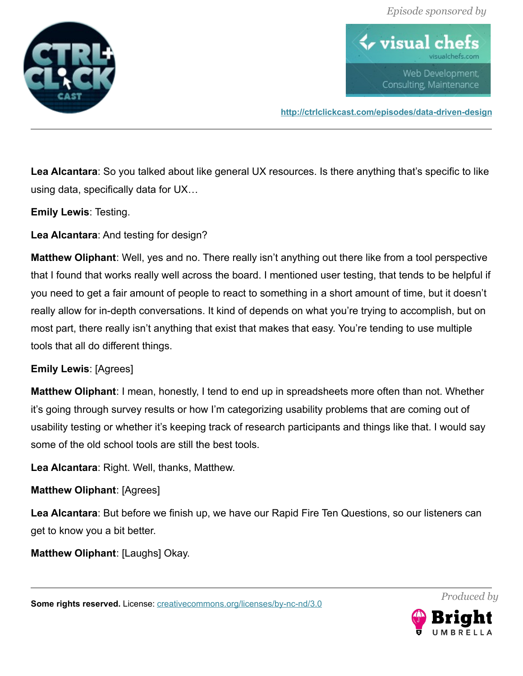

 $\blacklozenge$  visual ch Web Development, Consulting, Maintenance

**<http://ctrlclickcast.com/episodes/data-driven-design>**

**Lea Alcantara**: So you talked about like general UX resources. Is there anything that's specific to like using data, specifically data for UX…

**Emily Lewis**: Testing.

**Lea Alcantara**: And testing for design?

**Matthew Oliphant**: Well, yes and no. There really isn't anything out there like from a tool perspective that I found that works really well across the board. I mentioned user testing, that tends to be helpful if you need to get a fair amount of people to react to something in a short amount of time, but it doesn't really allow for in-depth conversations. It kind of depends on what you're trying to accomplish, but on most part, there really isn't anything that exist that makes that easy. You're tending to use multiple tools that all do different things.

## **Emily Lewis**: [Agrees]

**Matthew Oliphant**: I mean, honestly, I tend to end up in spreadsheets more often than not. Whether it's going through survey results or how I'm categorizing usability problems that are coming out of usability testing or whether it's keeping track of research participants and things like that. I would say some of the old school tools are still the best tools.

**Lea Alcantara**: Right. Well, thanks, Matthew.

**Matthew Oliphant**: [Agrees]

**Lea Alcantara**: But before we finish up, we have our Rapid Fire Ten Questions, so our listeners can get to know you a bit better.

**Matthew Oliphant**: [Laughs] Okay.

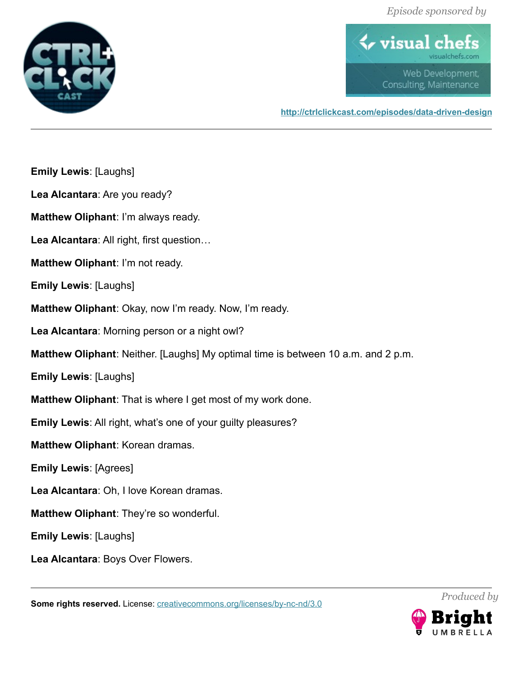

**Emily Lewis**: [Laughs]

 $\blacklozenge$  visual che Web Development, Consulting, Maintenance

**<http://ctrlclickcast.com/episodes/data-driven-design>**

**Lea Alcantara**: Are you ready? **Matthew Oliphant**: I'm always ready. **Lea Alcantara**: All right, first question… **Matthew Oliphant**: I'm not ready. **Emily Lewis**: [Laughs] **Matthew Oliphant**: Okay, now I'm ready. Now, I'm ready. **Lea Alcantara**: Morning person or a night owl? **Matthew Oliphant**: Neither. [Laughs] My optimal time is between 10 a.m. and 2 p.m. **Emily Lewis**: [Laughs] **Matthew Oliphant**: That is where I get most of my work done. **Emily Lewis**: All right, what's one of your guilty pleasures? **Matthew Oliphant**: Korean dramas. **Emily Lewis**: [Agrees] **Lea Alcantara**: Oh, I love Korean dramas. **Matthew Oliphant**: They're so wonderful. **Emily Lewis**: [Laughs]

**Lea Alcantara**: Boys Over Flowers.

**Some rights reserved.** License: *creativecommons.org/licenses/by-nc-nd/3.0* 



*Produced by*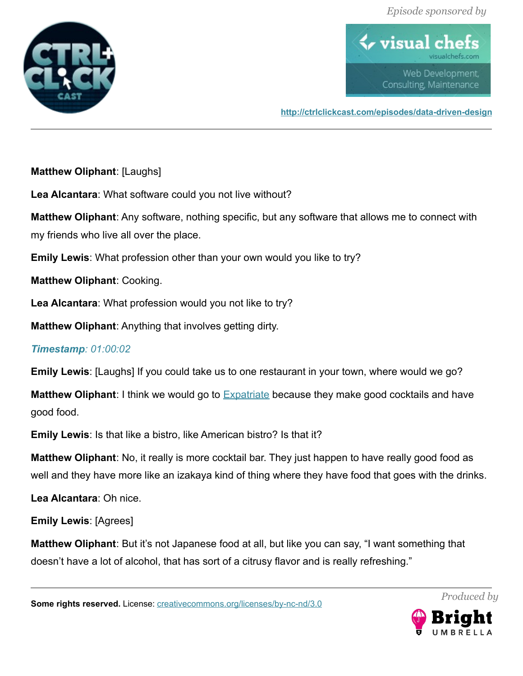

 $\blacklozenge$  visual ch Web Development, Consulting, Maintenance

**<http://ctrlclickcast.com/episodes/data-driven-design>**

**Matthew Oliphant**: [Laughs]

**Lea Alcantara**: What software could you not live without?

**Matthew Oliphant**: Any software, nothing specific, but any software that allows me to connect with my friends who live all over the place.

**Emily Lewis**: What profession other than your own would you like to try?

**Matthew Oliphant**: Cooking.

**Lea Alcantara**: What profession would you not like to try?

**Matthew Oliphant**: Anything that involves getting dirty.

# *Timestamp: 01:00:02*

**Emily Lewis**: [Laughs] If you could take us to one restaurant in your town, where would we go?

**Matthew Oliphant:** I think we would go to **Expatriate** because they make good cocktails and have good food.

**Emily Lewis**: Is that like a bistro, like American bistro? Is that it?

**Matthew Oliphant**: No, it really is more cocktail bar. They just happen to have really good food as well and they have more like an izakaya kind of thing where they have food that goes with the drinks.

**Lea Alcantara**: Oh nice.

**Emily Lewis**: [Agrees]

**Matthew Oliphant**: But it's not Japanese food at all, but like you can say, "I want something that doesn't have a lot of alcohol, that has sort of a citrusy flavor and is really refreshing."

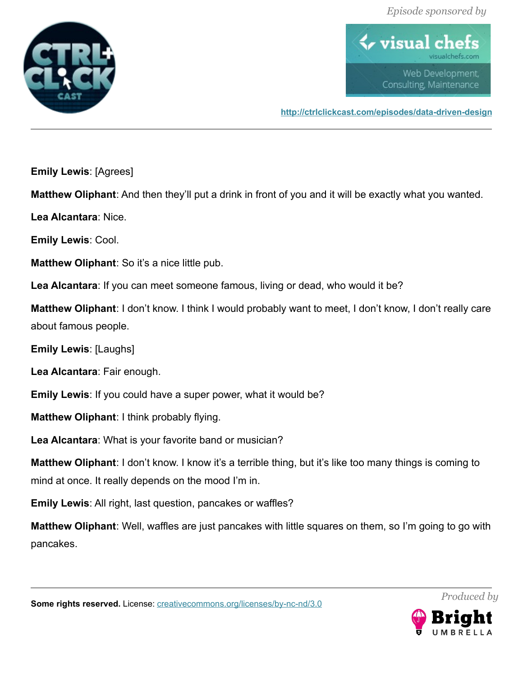



**<http://ctrlclickcast.com/episodes/data-driven-design>**

**Emily Lewis**: [Agrees]

**Matthew Oliphant**: And then they'll put a drink in front of you and it will be exactly what you wanted.

**Lea Alcantara**: Nice.

**Emily Lewis**: Cool.

**Matthew Oliphant**: So it's a nice little pub.

**Lea Alcantara**: If you can meet someone famous, living or dead, who would it be?

**Matthew Oliphant**: I don't know. I think I would probably want to meet, I don't know, I don't really care about famous people.

**Emily Lewis**: [Laughs]

**Lea Alcantara**: Fair enough.

**Emily Lewis**: If you could have a super power, what it would be?

**Matthew Oliphant**: I think probably flying.

**Lea Alcantara**: What is your favorite band or musician?

**Matthew Oliphant**: I don't know. I know it's a terrible thing, but it's like too many things is coming to mind at once. It really depends on the mood I'm in.

**Emily Lewis**: All right, last question, pancakes or waffles?

**Matthew Oliphant**: Well, waffles are just pancakes with little squares on them, so I'm going to go with pancakes.



*Produced by*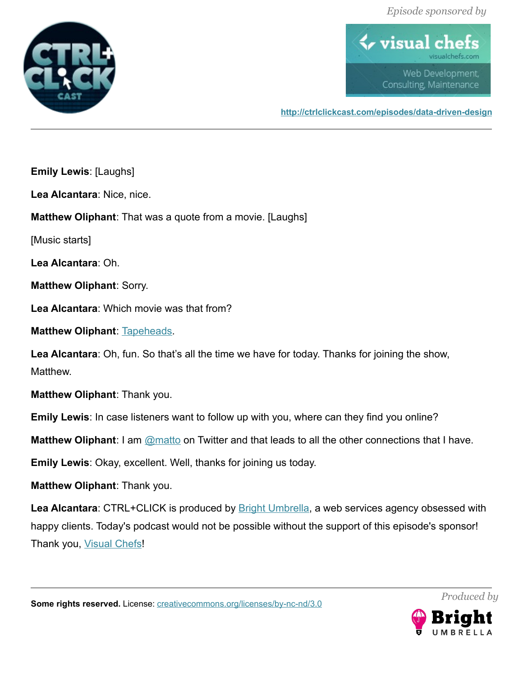

 $\blacklozenge$  visual che Web Development, Consulting, Maintenance

**<http://ctrlclickcast.com/episodes/data-driven-design>**

**Emily Lewis**: [Laughs]

**Lea Alcantara**: Nice, nice.

**Matthew Oliphant**: That was a quote from a movie. [Laughs]

[Music starts]

**Lea Alcantara**: Oh.

**Matthew Oliphant**: Sorry.

**Lea Alcantara**: Which movie was that from?

**Matthew Oliphant: [Tapeheads.](https://www.youtube.com/watch?v=dnBZMngx97o)** 

Lea Alcantara: Oh, fun. So that's all the time we have for today. Thanks for joining the show, Matthew.

**Matthew Oliphant**: Thank you.

**Emily Lewis**: In case listeners want to follow up with you, where can they find you online?

**Matthew Oliphant:** I am **@matto** on Twitter and that leads to all the other connections that I have.

**Emily Lewis**: Okay, excellent. Well, thanks for joining us today.

**Matthew Oliphant**: Thank you.

Lea Alcantara: CTRL+CLICK is produced by **Bright Umbrella**, a web services agency obsessed with happy clients. Today's podcast would not be possible without the support of this episode's sponsor! Thank you, [Visual Chefs!](http://visualchefs.com/)